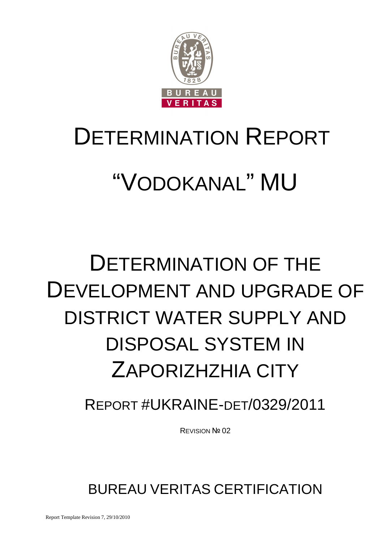

# DETERMINATION REPORT

# "VODOKANAL" MU

# DETERMINATION OF THE DEVELOPMENT AND UPGRADE OF DISTRICT WATER SUPPLY AND DISPOSAL SYSTEM IN ZAPORIZHZHIA CITY

# REPORT #UKRAINE-DET/0329/2011

REVISION № 02

BUREAU VERITAS CERTIFICATION

Report Template Revision 7, 29/10/2010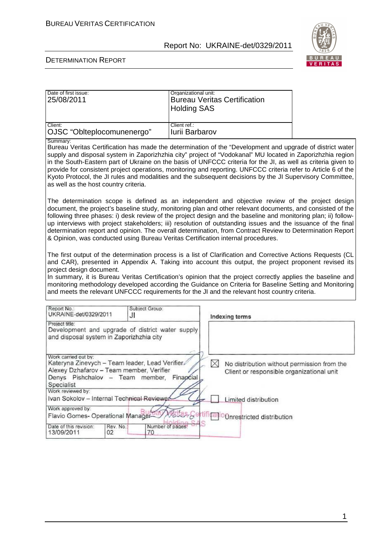

#### DETERMINATION REPORT

| Date of first issue:<br>25/08/2011 | Organizational unit:<br><b>Bureau Veritas Certification</b><br><b>Holding SAS</b> |
|------------------------------------|-----------------------------------------------------------------------------------|
| Client:                            | Client ref.:                                                                      |
| OJSC "Oblteplocomunenergo"         | <b>Iurii Barbarov</b>                                                             |

Summary:

Bureau Veritas Certification has made the determination of the "Development and upgrade of district water supply and disposal system in Zaporizhzhia city" project of "Vodokanal" MU located in Zaporizhzhia region in the South-Eastern part of Ukraine on the basis of UNFCCC criteria for the JI, as well as criteria given to provide for consistent project operations, monitoring and reporting. UNFCCC criteria refer to Article 6 of the Kyoto Protocol, the JI rules and modalities and the subsequent decisions by the JI Supervisory Committee, as well as the host country criteria.

The determination scope is defined as an independent and objective review of the project design document, the project's baseline study, monitoring plan and other relevant documents, and consisted of the following three phases: i) desk review of the project design and the baseline and monitoring plan; ii) followup interviews with project stakeholders; iii) resolution of outstanding issues and the issuance of the final determination report and opinion. The overall determination, from Contract Review to Determination Report & Opinion, was conducted using Bureau Veritas Certification internal procedures.

The first output of the determination process is a list of Clarification and Corrective Actions Requests (CL and CAR), presented in Appendix A. Taking into account this output, the project proponent revised its project design document.

In summary, it is Bureau Veritas Certification's opinion that the project correctly applies the baseline and monitoring methodology developed according the Guidance on Criteria for Baseline Setting and Monitoring and meets the relevant UNFCCC requirements for the JI and the relevant host country criteria.

| Report No.:<br>UKRAINE-det/0329/2011                                                                                                                                | JI              | Subject Group:                                   | Indexing terms                                                                                |
|---------------------------------------------------------------------------------------------------------------------------------------------------------------------|-----------------|--------------------------------------------------|-----------------------------------------------------------------------------------------------|
| Project title:<br>and disposal system in Zaporizhzhia city                                                                                                          |                 | Development and upgrade of district water supply |                                                                                               |
| Work carried out by:<br>Kateryna Zinevych - Team leader, Lead Verifier<br>Alexey Dzhafarov - Team member, Verifier<br>Denys Pishchalov - Team member,<br>Specialist |                 | Financial                                        | No distribution without permission from the<br>W<br>Client or responsible organizational unit |
| Work reviewed by:<br>Ivan Sokolov - Internal Technical Reviewer                                                                                                     |                 |                                                  | Limited distribution                                                                          |
| Work approved by:<br>Flavio Gomes- Operational Manager-                                                                                                             |                 |                                                  | <b>Onrestricted distribution</b>                                                              |
| Date of this revision:<br>13/09/2011                                                                                                                                | Rev. No.:<br>02 | Number of pages:<br>70                           |                                                                                               |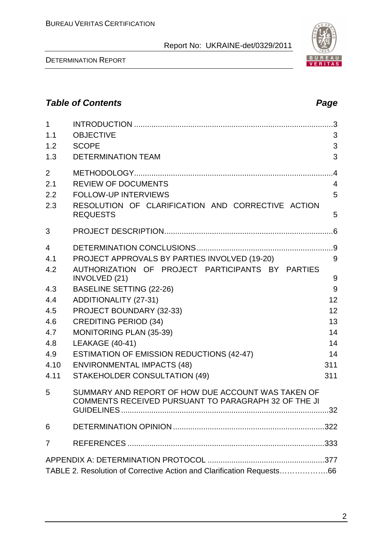DETERMINATION REPORT

| 2.1            | <b>REVIEW OF DOCUMENTS</b>                                           | 4 |
|----------------|----------------------------------------------------------------------|---|
| 2.2            | <b>FOLLOW-UP INTERVIEWS</b>                                          | 5 |
| 2.3            | RESOLUTION OF CLARIFICATION AND CORRECTIVE ACTION<br><b>REQUESTS</b> | 5 |
| 3              |                                                                      |   |
| $\overline{4}$ |                                                                      |   |
| 4.1            | PROJECT APPROVALS BY PARTIES INVOLVED (19-20)                        | 9 |
| 4.2            | AUTHORIZATION OF PROJECT PARTICIPANTS BY PARTIES                     |   |
|                | INVOLVED (21)                                                        | 9 |
| 4.3            | <b>BASELINE SETTING (22-26)</b>                                      | 9 |

1 INTRODUCTION ............................................................................................3 1.1 OBJECTIVE 3 1.2 SCOPE 3 1.3 DETERMINATION TEAM 3

2 METHODOLOGY............................................................................................4

| 4.4 | ADDITIONALITY (27-31)                            | 12  |
|-----|--------------------------------------------------|-----|
| 4.5 | PROJECT BOUNDARY (32-33)                         | 12  |
| 4.6 | <b>CREDITING PERIOD (34)</b>                     | 13. |
| 4.7 | <b>MONITORING PLAN (35-39)</b>                   | 14  |
| 4.8 | LEAKAGE $(40-41)$                                | 14  |
| 4.9 | <b>ESTIMATION OF EMISSION REDUCTIONS (42-47)</b> | 14  |

### 4.10 ENVIRONMENTAL IMPACTS (48) 311 4.11 STAKEHOLDER CONSULTATION (49) 311 5 SUMMARY AND REPORT OF HOW DUE ACCOUNT WAS TAKEN OF COMMENTS RECEIVED PURSUANT TO PARAGRAPH 32 OF THE JI GUIDELINES ................................................................................................32 6 DETERMINATION OPINION ......................................................................322



# **Table of Contents Page 2018**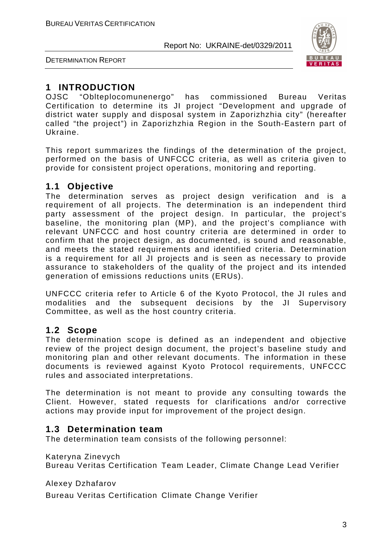

DETERMINATION REPORT

#### **1 INTRODUCTION**

OJSC "Oblteplocomunenergo" has commissioned Bureau Veritas Certification to determine its JI project "Development and upgrade of district water supply and disposal system in Zaporizhzhia city" (hereafter called "the project") in Zaporizhzhia Region in the South-Eastern part of Ukraine.

This report summarizes the findings of the determination of the project, performed on the basis of UNFCCC criteria, as well as criteria given to provide for consistent project operations, monitoring and reporting.

#### **1.1 Objective**

The determination serves as project design verification and is a requirement of all projects. The determination is an independent third party assessment of the project design. In particular, the project's baseline, the monitoring plan (MP), and the project's compliance with relevant UNFCCC and host country criteria are determined in order to confirm that the project design, as documented, is sound and reasonable, and meets the stated requirements and identified criteria. Determination is a requirement for all JI projects and is seen as necessary to provide assurance to stakeholders of the quality of the project and its intended generation of emissions reductions units (ERUs).

UNFCCC criteria refer to Article 6 of the Kyoto Protocol, the JI rules and modalities and the subsequent decisions by the JI Supervisory Committee, as well as the host country criteria.

#### **1.2 Scope**

The determination scope is defined as an independent and objective review of the project design document, the project's baseline study and monitoring plan and other relevant documents. The information in these documents is reviewed against Kyoto Protocol requirements, UNFCCC rules and associated interpretations.

The determination is not meant to provide any consulting towards the Client. However, stated requests for clarifications and/or corrective actions may provide input for improvement of the project design.

#### **1.3 Determination team**

The determination team consists of the following personnel:

Kateryna Zinevych

Bureau Veritas Certification Team Leader, Climate Change Lead Verifier

Alexey Dzhafarov

Bureau Veritas Certification Climate Change Verifier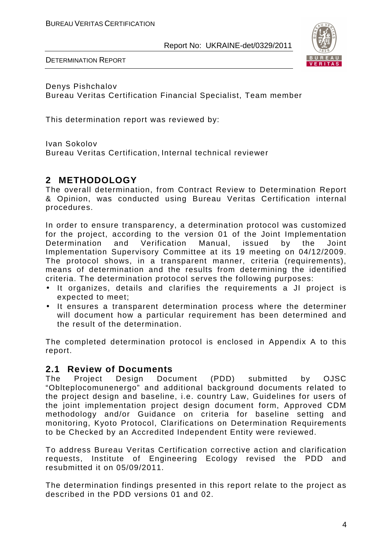

DETERMINATION REPORT

Denys Pishchalov Bureau Veritas Certification Financial Specialist, Team member

This determination report was reviewed by:

Ivan Sokolov

Bureau Veritas Certification, Internal technical reviewer

#### **2 METHODOLOGY**

The overall determination, from Contract Review to Determination Report & Opinion, was conducted using Bureau Veritas Certification internal procedures.

In order to ensure transparency, a determination protocol was customized for the project, according to the version 01 of the Joint Implementation Determination and Verification Manual, issued by the Joint Implementation Supervisory Committee at its 19 meeting on 04/12/2009. The protocol shows, in a transparent manner, criteria (requirements), means of determination and the results from determining the identified criteria. The determination protocol serves the following purposes:

- It organizes, details and clarifies the requirements a JI project is expected to meet;
- It ensures a transparent determination process where the determiner will document how a particular requirement has been determined and the result of the determination.

The completed determination protocol is enclosed in Appendix A to this report.

# **2.1 Review of Documents**

Project Design Document (PDD) submitted by OJSC "Oblteplocomunenergo" and additional background documents related to the project design and baseline, i.e. country Law, Guidelines for users of the joint implementation project design document form, Approved CDM methodology and/or Guidance on criteria for baseline setting and monitoring, Kyoto Protocol, Clarifications on Determination Requirements to be Checked by an Accredited Independent Entity were reviewed.

To address Bureau Veritas Certification corrective action and clarification requests, Institute of Engineering Ecology revised the PDD and resubmitted it on 05/09/2011.

The determination findings presented in this report relate to the project as described in the PDD versions 01 and 02.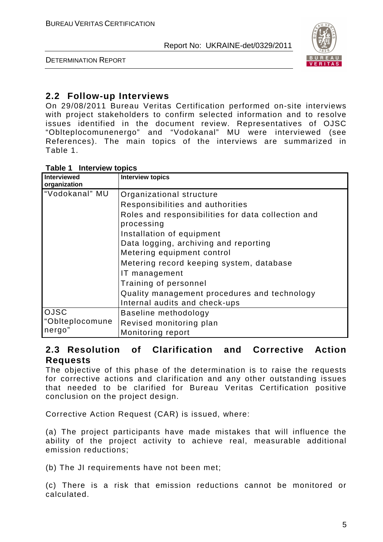

DETERMINATION REPORT

#### **2.2 Follow-up Interviews**

On 29/08/2011 Bureau Veritas Certification performed on-site interviews with project stakeholders to confirm selected information and to resolve issues identified in the document review. Representatives of OJSC "Oblteplocomunenergo" and "Vodokanal" MU were interviewed (see References). The main topics of the interviews are summarized in Table 1.

#### **Table 1 Interview topics**

| <b>Interviewed</b>                       | <b>Interview topics</b>                                                                                                                                                                                                                                                                                                                                                                                     |
|------------------------------------------|-------------------------------------------------------------------------------------------------------------------------------------------------------------------------------------------------------------------------------------------------------------------------------------------------------------------------------------------------------------------------------------------------------------|
| organization<br>"Vodokanal" MU           | Organizational structure<br>Responsibilities and authorities<br>Roles and responsibilities for data collection and<br>processing<br>Installation of equipment<br>Data logging, archiving and reporting<br>Metering equipment control<br>Metering record keeping system, database<br>IT management<br>Training of personnel<br>Quality management procedures and technology<br>Internal audits and check-ups |
| <b>OJSC</b><br>"Oblteplocomune<br>nergo" | Baseline methodology<br>Revised monitoring plan<br>Monitoring report                                                                                                                                                                                                                                                                                                                                        |

#### **2.3 Resolution of Clarification and Corrective Action Requests**

The objective of this phase of the determination is to raise the requests for corrective actions and clarification and any other outstanding issues that needed to be clarified for Bureau Veritas Certification positive conclusion on the project design.

Corrective Action Request (CAR) is issued, where:

(a) The project participants have made mistakes that will influence the ability of the project activity to achieve real, measurable additional emission reductions;

(b) The JI requirements have not been met;

(c) There is a risk that emission reductions cannot be monitored or calculated.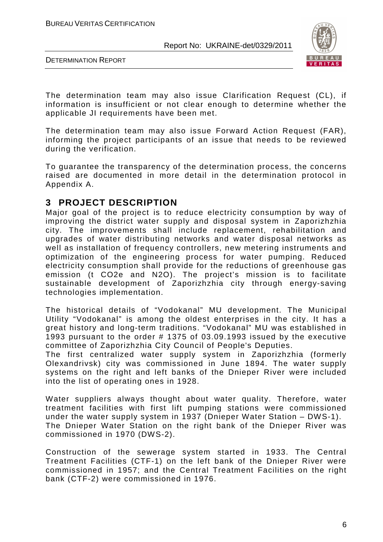



The determination team may also issue Clarification Request (CL), if information is insufficient or not clear enough to determine whether the applicable JI requirements have been met.

The determination team may also issue Forward Action Request (FAR), informing the project participants of an issue that needs to be reviewed during the verification.

To guarantee the transparency of the determination process, the concerns raised are documented in more detail in the determination protocol in Appendix A.

#### **3 PROJECT DESCRIPTION**

Major goal of the project is to reduce electricity consumption by way of improving the district water supply and disposal system in Zaporizhzhia city. The improvements shall include replacement, rehabilitation and upgrades of water distributing networks and water disposal networks as well as installation of frequency controllers, new metering instruments and optimization of the engineering process for water pumping. Reduced electricity consumption shall provide for the reductions of greenhouse gas emission (t CO2e and N2O). The project's mission is to facilitate sustainable development of Zaporizhzhia city through energy-saving technologies implementation.

The historical details of "Vodokanal" MU development. The Municipal Utility "Vodokanal" is among the oldest enterprises in the city. It has a great history and long-term traditions. "Vodokanal" MU was established in 1993 pursuant to the order # 1375 of 03.09.1993 issued by the executive committee of Zaporizhzhia City Council of People's Deputies.

The first centralized water supply system in Zaporizhzhia (formerly Olexandrivsk) city was commissioned in June 1894. The water supply systems on the right and left banks of the Dnieper River were included into the list of operating ones in 1928.

Water suppliers always thought about water quality. Therefore, water treatment facilities with first lift pumping stations were commissioned under the water supply system in 1937 (Dnieper Water Station – DWS-1). The Dnieper Water Station on the right bank of the Dnieper River was commissioned in 1970 (DWS-2).

Construction of the sewerage system started in 1933. The Central Treatment Facilities (CTF-1) on the left bank of the Dnieper River were commissioned in 1957; and the Central Treatment Facilities on the right bank (CTF-2) were commissioned in 1976.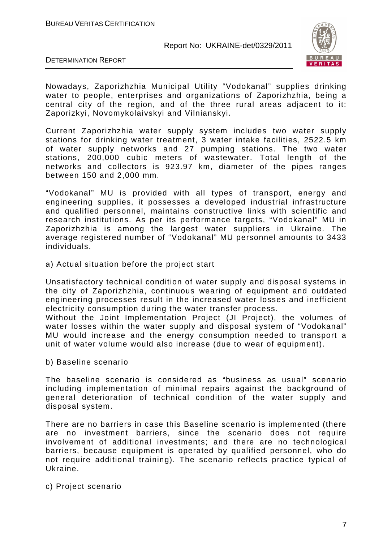

DETERMINATION REPORT

Nowadays, Zaporizhzhia Municipal Utility "Vodokanal" supplies drinking water to people, enterprises and organizations of Zaporizhzhia, being a central city of the region, and of the three rural areas adjacent to it: Zaporizkyi, Novomykolaivskyi and Vilnianskyi.

Current Zaporizhzhia water supply system includes two water supply stations for drinking water treatment, 3 water intake facilities, 2522.5 km of water supply networks and 27 pumping stations. The two water stations, 200,000 cubic meters of wastewater. Total length of the networks and collectors is 923.97 km, diameter of the pipes ranges between 150 and 2,000 mm.

"Vodokanal" MU is provided with all types of transport, energy and engineering supplies, it possesses a developed industrial infrastructure and qualified personnel, maintains constructive links with scientific and research institutions. As per its performance targets, "Vodokanal" MU in Zaporizhzhia is among the largest water suppliers in Ukraine. The average registered number of "Vodokanal" MU personnel amounts to 3433 individuals.

а) Actual situation before the project start

Unsatisfactory technical condition of water supply and disposal systems in the city of Zaporizhzhia, continuous wearing of equipment and outdated engineering processes result in the increased water losses and inefficient electricity consumption during the water transfer process.

Without the Joint Implementation Project (JI Project), the volumes of water losses within the water supply and disposal system of "Vodokanal" MU would increase and the energy consumption needed to transport a unit of water volume would also increase (due to wear of equipment).

b) Baseline scenario

The baseline scenario is considered as "business as usual" scenario including implementation of minimal repairs against the background of general deterioration of technical condition of the water supply and disposal system.

There are no barriers in case this Baseline scenario is implemented (there are no investment barriers, since the scenario does not require involvement of additional investments; and there are no technological barriers, because equipment is operated by qualified personnel, who do not require additional training). The scenario reflects practice typical of Ukraine.

c) Project scenario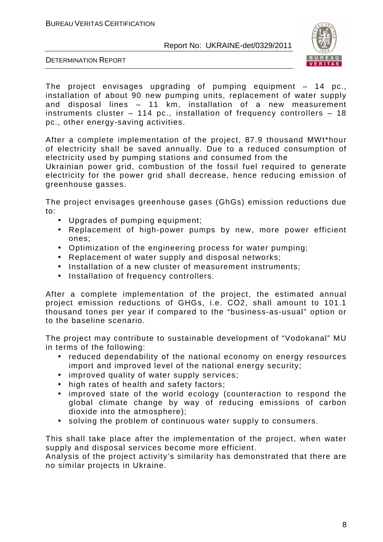

DETERMINATION REPORT

The project envisages upgrading of pumping equipment – 14 pc., installation of about 90 new pumping units, replacement of water supply and disposal lines – 11 km, installation of a new measurement instruments cluster – 114 pc., installation of frequency controllers – 18 pc., other energy-saving activities.

After a complete implementation of the project, 87.9 thousand MWt\*hour of electricity shall be saved annually. Due to a reduced consumption of electricity used by pumping stations and consumed from the

Ukrainian power grid, combustion of the fossil fuel required to generate electricity for the power grid shall decrease, hence reducing emission of greenhouse gasses.

The project envisages greenhouse gases (GhGs) emission reductions due to:

- Upgrades of pumping equipment;
- Replacement of high-power pumps by new, more power efficient ones;
- Optimization of the engineering process for water pumping;
- Replacement of water supply and disposal networks;
- Installation of a new cluster of measurement instruments;
- Installation of frequency controllers.

After a complete implementation of the project, the estimated annual project emission reductions of GHGs, i.e. СО2, shall amount to 101.1 thousand tones per year if compared to the "business-as-usual" option or to the baseline scenario.

The project may contribute to sustainable development of "Vodokanal" MU in terms of the following:

- reduced dependability of the national economy on energy resources import and improved level of the national energy security;
- improved quality of water supply services;
- high rates of health and safety factors;
- improved state of the world ecology (counteraction to respond the global climate change by way of reducing emissions of carbon dioxide into the atmosphere);
- solving the problem of continuous water supply to consumers.

This shall take place after the implementation of the project, when water supply and disposal services become more efficient.

Analysis of the project activity's similarity has demonstrated that there are no similar projects in Ukraine.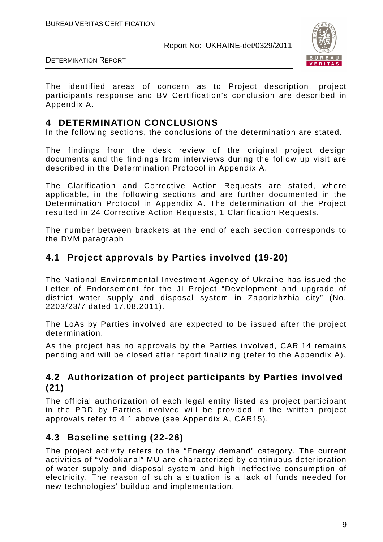

DETERMINATION REPORT

The identified areas of concern as to Project description, project participants response and BV Certification's conclusion are described in Appendix A.

#### **4 DETERMINATION CONCLUSIONS**

In the following sections, the conclusions of the determination are stated.

The findings from the desk review of the original project design documents and the findings from interviews during the follow up visit are described in the Determination Protocol in Appendix A.

The Clarification and Corrective Action Requests are stated, where applicable, in the following sections and are further documented in the Determination Protocol in Appendix A. The determination of the Project resulted in 24 Corrective Action Requests, 1 Clarification Requests.

The number between brackets at the end of each section corresponds to the DVM paragraph

#### **4.1 Project approvals by Parties involved (19-20)**

The National Environmental Investment Agency of Ukraine has issued the Letter of Endorsement for the JI Project "Development and upgrade of district water supply and disposal system in Zaporizhzhia city" (No. 2203/23/7 dated 17.08.2011).

The LoAs by Parties involved are expected to be issued after the project determination.

As the project has no approvals by the Parties involved, CAR 14 remains pending and will be closed after report finalizing (refer to the Appendix A).

#### **4.2 Authorization of project participants by Parties involved (21)**

The official authorization of each legal entity listed as project participant in the PDD by Parties involved will be provided in the written project approvals refer to 4.1 above (see Appendix A, CAR15).

#### **4.3 Baseline setting (22-26)**

The project activity refers to the "Energy demand" category. The current activities of "Vodokanal" MU are characterized by continuous deterioration of water supply and disposal system and high ineffective consumption of electricity. The reason of such a situation is a lack of funds needed for new technologies' buildup and implementation.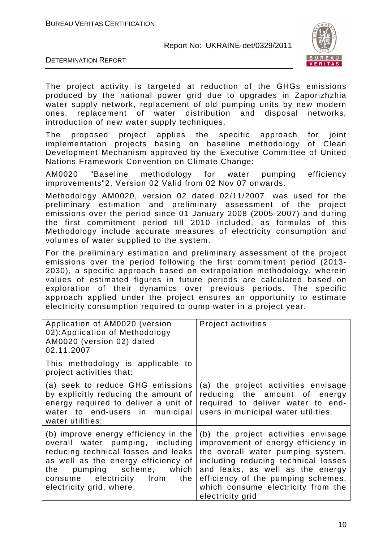

DETERMINATION REPORT

The project activity is targeted at reduction of the GHGs emissions produced by the national power grid due to upgrades in Zaporizhzhia water supply network, replacement of old pumping units by new modern ones, replacement of water distribution and disposal networks, introduction of new water supply techniques.

The proposed project applies the specific approach for joint implementation projects basing on baseline methodology of Clean Development Mechanism approved by the Executive Committee of United Nations Framework Convention on Climate Change:

AM0020 "Baseline methodology for water pumping efficiency improvements"2, Version 02 Valid from 02 Nov 07 onwards.

Methodology AM0020, version 02 dated 02/11/2007, was used for the preliminary estimation and preliminary assessment of the project emissions over the period since 01 January 2008 (2005-2007) and during the first commitment period till 2010 included, as formulas of this Methodology include accurate measures of electricity consumption and volumes of water supplied to the system.

For the preliminary estimation and preliminary assessment of the project emissions over the period following the first commitment period (2013- 2030), a specific approach based on extrapolation methodology, wherein values of estimated figures in future periods are calculated based on exploration of their dynamics over previous periods. The specific approach applied under the project ensures an opportunity to estimate electricity consumption required to pump water in a project year.

| Application of AM0020 (version<br>02): Application of Methodology<br>AM0020 (version 02) dated<br>02.11.2007                                                                                                                                    | Project activities                                                                                                                                                                                                                                                                         |
|-------------------------------------------------------------------------------------------------------------------------------------------------------------------------------------------------------------------------------------------------|--------------------------------------------------------------------------------------------------------------------------------------------------------------------------------------------------------------------------------------------------------------------------------------------|
| This methodology is applicable to<br>project activities that:                                                                                                                                                                                   |                                                                                                                                                                                                                                                                                            |
| (a) seek to reduce GHG emissions<br>by explicitly reducing the amount of<br>energy required to deliver a unit of<br>water to end-users in municipal<br>water utilities:                                                                         | (a) the project activities envisage<br>reducing the amount of energy<br>required to deliver water to end-<br>users in municipal water utilities.                                                                                                                                           |
| (b) improve energy efficiency in the<br>overall water pumping, including<br>reducing technical losses and leaks<br>as well as the energy efficiency of<br>the pumping scheme, which<br>consume electricity from the<br>electricity grid, where: | (b) the project activities envisage<br>improvement of energy efficiency in<br>the overall water pumping system,<br>including reducing technical losses<br>and leaks, as well as the energy<br>efficiency of the pumping schemes,<br>which consume electricity from the<br>electricity grid |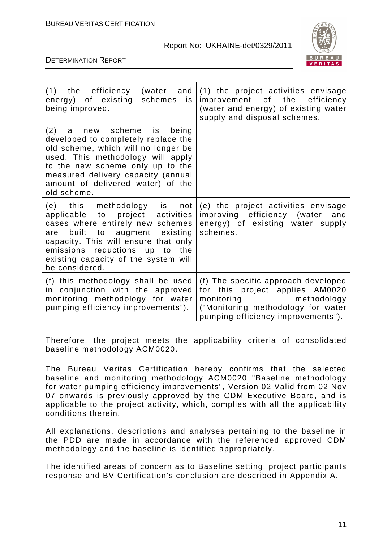

DETERMINATION REPORT

| being improved.                                                                                                                                                                                                                                                            | (1) the efficiency (water and $(1)$ the project activities envisage<br>energy) of existing schemes is improvement of the efficiency<br>(water and energy) of existing water<br>supply and disposal schemes. |
|----------------------------------------------------------------------------------------------------------------------------------------------------------------------------------------------------------------------------------------------------------------------------|-------------------------------------------------------------------------------------------------------------------------------------------------------------------------------------------------------------|
| (2) a new scheme is being<br>developed to completely replace the<br>old scheme, which will no longer be<br>used. This methodology will apply<br>to the new scheme only up to the<br>measured delivery capacity (annual<br>amount of delivered water) of the<br>old scheme. |                                                                                                                                                                                                             |
| $(e)$ this methodology is not<br>applicable to project activities<br>cases where entirely new schemes<br>are built to augment existing<br>capacity. This will ensure that only<br>emissions reductions up to the<br>existing capacity of the system will<br>be considered. | (e) the project activities envisage<br>improving efficiency (water and<br>energy) of existing water supply<br>schemes.                                                                                      |
| (f) this methodology shall be used<br>in conjunction with the approved<br>monitoring methodology for water<br>pumping efficiency improvements").                                                                                                                           | (f) The specific approach developed<br>for this project applies AM0020<br>monitoring methodology<br>("Monitoring methodology for water<br>pumping efficiency improvements").                                |

Therefore, the project meets the applicability criteria of consolidated baseline methodology АСМ0020.

The Bureau Veritas Certification hereby confirms that the selected baseline and monitoring methodology ACM0020 "Baseline methodology for water pumping efficiency improvements", Version 02 Valid from 02 Nov 07 onwards is previously approved by the CDM Executive Board, and is applicable to the project activity, which, complies with all the applicability conditions therein.

All explanations, descriptions and analyses pertaining to the baseline in the PDD are made in accordance with the referenced approved CDM methodology and the baseline is identified appropriately.

The identified areas of concern as to Baseline setting, project participants response and BV Certification's conclusion are described in Appendix A.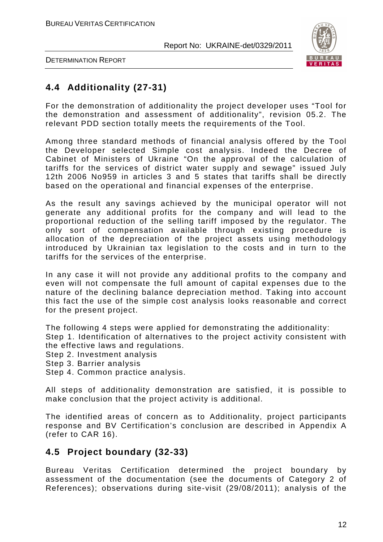

DETERMINATION REPORT

### **4.4 Additionality (27-31)**

For the demonstration of additionality the project developer uses "Tool for the demonstration and assessment of additionality", revision 05.2. The relevant PDD section totally meets the requirements of the Tool.

Among three standard methods of financial analysis offered by the Tool the Developer selected Simple cost analysis. Indeed the Decree of Cabinet of Ministers of Ukraine "On the approval of the calculation of tariffs for the services of district water supply and sewage" issued July 12th 2006 No959 in articles 3 and 5 states that tariffs shall be directly based on the operational and financial expenses of the enterprise.

As the result any savings achieved by the municipal operator will not generate any additional profits for the company and will lead to the proportional reduction of the selling tariff imposed by the regulator. The only sort of compensation available through existing procedure is allocation of the depreciation of the project assets using methodology introduced by Ukrainian tax legislation to the costs and in turn to the tariffs for the services of the enterprise.

In any case it will not provide any additional profits to the company and even will not compensate the full amount of capital expenses due to the nature of the declining balance depreciation method. Taking into account this fact the use of the simple cost analysis looks reasonable and correct for the present project.

The following 4 steps were applied for demonstrating the additionality: Step 1. Identification of alternatives to the project activity consistent with the effective laws and regulations.

- Step 2. Investment analysis
- Step 3. Barrier analysis
- Step 4. Common practice analysis.

All steps of additionality demonstration are satisfied, it is possible to make conclusion that the project activity is additional.

The identified areas of concern as to Additionality, project participants response and BV Certification's conclusion are described in Appendix A (refer to CAR 16).

#### **4.5 Project boundary (32-33)**

Bureau Veritas Certification determined the project boundary by assessment of the documentation (see the documents of Category 2 of References); observations during site-visit (29/08/2011); analysis of the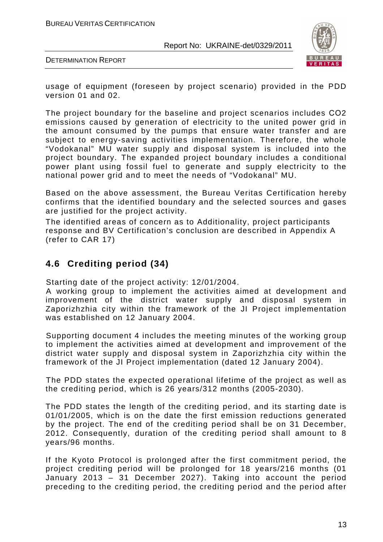

DETERMINATION REPORT

usage of equipment (foreseen by project scenario) provided in the PDD version 01 and 02.

The project boundary for the baseline and project scenarios includes СО2 emissions caused by generation of electricity to the united power grid in the amount consumed by the pumps that ensure water transfer and are subject to energy-saving activities implementation. Therefore, the whole "Vodokanal" MU water supply and disposal system is included into the project boundary. The expanded project boundary includes a conditional power plant using fossil fuel to generate and supply electricity to the national power grid and to meet the needs of "Vodokanal" MU.

Based on the above assessment, the Bureau Veritas Certification hereby confirms that the identified boundary and the selected sources and gases are justified for the project activity.

The identified areas of concern as to Additionality, project participants response and BV Certification's conclusion are described in Appendix A (refer to CAR 17)

#### **4.6 Crediting period (34)**

Starting date of the project activity: 12/01/2004.

A working group to implement the activities aimed at development and improvement of the district water supply and disposal system in Zaporizhzhia city within the framework of the JI Project implementation was established on 12 January 2004.

Supporting document 4 includes the meeting minutes of the working group to implement the activities aimed at development and improvement of the district water supply and disposal system in Zaporizhzhia city within the framework of the JI Project implementation (dated 12 January 2004).

The PDD states the expected operational lifetime of the project as well as the crediting period, which is 26 years/312 months (2005-2030).

The PDD states the length of the crediting period, and its starting date is 01/01/2005, which is on the date the first emission reductions generated by the project. The end of the crediting period shall be on 31 December, 2012. Consequently, duration of the crediting period shall amount to 8 years/96 months.

If the Kyoto Protocol is prolonged after the first commitment period, the project crediting period will be prolonged for 18 years/216 months (01 January 2013 – 31 December 2027). Taking into account the period preceding to the crediting period, the crediting period and the period after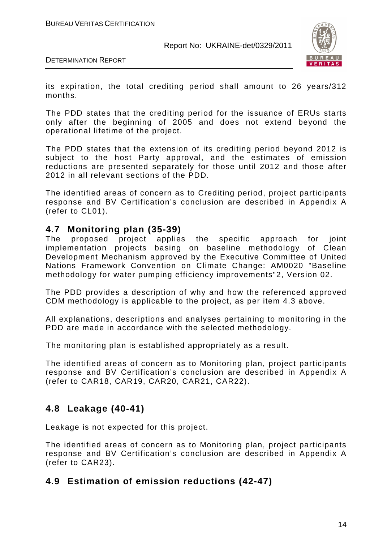

DETERMINATION REPORT

its expiration, the total crediting period shall amount to 26 years/312 months.

The PDD states that the crediting period for the issuance of ERUs starts only after the beginning of 2005 and does not extend beyond the operational lifetime of the project.

The PDD states that the extension of its crediting period beyond 2012 is subject to the host Party approval, and the estimates of emission reductions are presented separately for those until 2012 and those after 2012 in all relevant sections of the PDD.

The identified areas of concern as to Crediting period, project participants response and BV Certification's conclusion are described in Appendix A (refer to CL01).

#### **4.7 Monitoring plan (35-39)**

The proposed project applies the specific approach for joint implementation projects basing on baseline methodology of Clean Development Mechanism approved by the Executive Committee of United Nations Framework Convention on Climate Change: AM0020 "Baseline methodology for water pumping efficiency improvements"2, Version 02.

The PDD provides a description of why and how the referenced approved CDM methodology is applicable to the project, as per item 4.3 above.

All explanations, descriptions and analyses pertaining to monitoring in the PDD are made in accordance with the selected methodology.

The monitoring plan is established appropriately as a result.

The identified areas of concern as to Monitoring plan, project participants response and BV Certification's conclusion are described in Appendix A (refer to CAR18, CAR19, CAR20, CAR21, CAR22).

#### **4.8 Leakage (40-41)**

Leakage is not expected for this project.

The identified areas of concern as to Monitoring plan, project participants response and BV Certification's conclusion are described in Appendix A (refer to CAR23).

#### **4.9 Estimation of emission reductions (42-47)**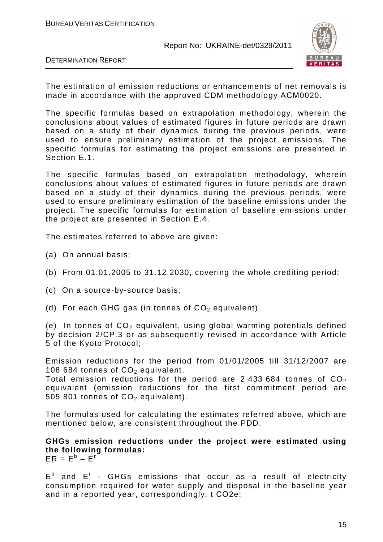

DETERMINATION REPORT

The estimation of emission reductions or enhancements of net removals is made in accordance with the approved CDM methodology АСМ0020.

The specific formulas based on extrapolation methodology, wherein the conclusions about values of estimated figures in future periods are drawn based on a study of their dynamics during the previous periods, were used to ensure preliminary estimation of the project emissions. The specific formulas for estimating the project emissions are presented in Section E.1.

The specific formulas based on extrapolation methodology, wherein conclusions about values of estimated figures in future periods are drawn based on a study of their dynamics during the previous periods, were used to ensure preliminary estimation of the baseline emissions under the project. The specific formulas for estimation of baseline emissions under the project are presented in Section E.4.

The estimates referred to above are given:

- (a) On annual basis;
- (b) From 01.01.2005 to 31.12.2030, covering the whole crediting period;
- (c) On a source-by-source basis;
- (d) For each GHG gas (in tonnes of  $CO<sub>2</sub>$  equivalent)

(e) In tonnes of  $CO<sub>2</sub>$  equivalent, using global warming potentials defined by decision 2/CP.3 or as subsequently revised in accordance with Article 5 of the Kyoto Protocol;

Emission reductions for the period from 01/01/2005 till 31/12/2007 are 108 684 tonnes of  $CO<sub>2</sub>$  equivalent.

Total emission reductions for the period are 2 433 684 tonnes of  $CO<sub>2</sub>$ equivalent (emission reductions for the first commitment period are 505 801 tonnes of  $CO<sub>2</sub>$  equivalent).

The formulas used for calculating the estimates referred above, which are mentioned below, are consistent throughout the PDD.

**GHGs emission reductions under the project were estimated using the following formulas:**   $ER = E^b - E^c$ 

 $E^b$  and  $E^r$  - GHGs emissions that occur as a result of electricity consumption required for water supply and disposal in the baseline year and in a reported year, correspondingly, t СО2e;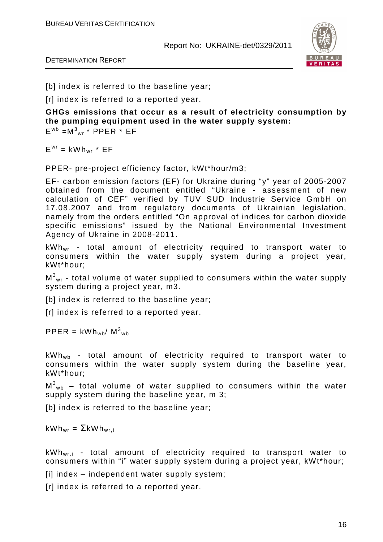

DETERMINATION REPORT

[b] index is referred to the baseline year;

[r] index is referred to a reported year.

**GHGs emissions that occur as a result of electricity consumption by the pumping equipment used in the water supply system:**   $E^{wb} = M^3$ <sub>wr</sub> \* PPER \* EF

 $E^{wr} = kWh_{wr} * EF$ 

PPER- pre-project efficiency factor, kWt\*hour/m3;

EF- carbon emission factors (EF) for Ukraine during "y" year of 2005-2007 obtained from the document entitled "Ukraine - assessment of new calculation of CEF" verified by TUV SUD Industrie Service GmbH on 17.08.2007 and from regulatory documents of Ukrainian legislation, namely from the orders entitled "On approval of indices for carbon dioxide specific emissions" issued by the National Environmental Investment Agency of Ukraine in 2008-2011.

kWhwr - total amount of electricity required to transport water to consumers within the water supply system during a project year, kWt\*hour;

 $\textsf{M}^{3}\textsf{_{wr}}$  - total volume of water supplied to consumers within the water supply system during a project year, m3.

[b] index is referred to the baseline year;

[r] index is referred to a reported year.

 $\text{PPER} = \text{kWh}_{\text{wb}}/\text{M}^3_{\text{wb}}$ 

 $kWh_{wb}$  - total amount of electricity required to transport water to consumers within the water supply system during the baseline year, kWt\*hour;

 $\textsf{M}^{3}\textsf{_{wb}}$  – total volume of water supplied to consumers within the water supply system during the baseline year, m 3;

[b] index is referred to the baseline year;

 $kWh_{wr} = \Sigma kWh_{wri}$ 

 $kWh_{wri}$  - total amount of electricity required to transport water to consumers within "i" water supply system during a project year, kWt\*hour;

[i] index – independent water supply system;

[r] index is referred to a reported year.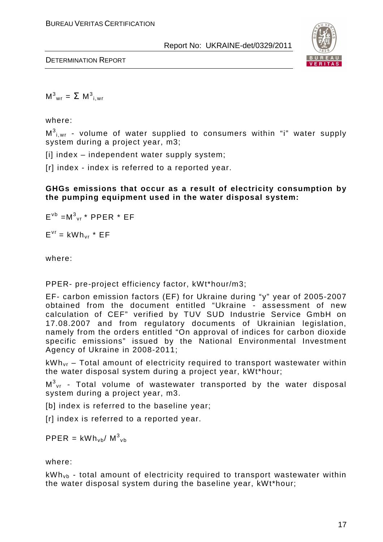

DETERMINATION REPORT

 $M^3_{\text{wr}} = \sum M^3_{i,\text{wr}}$ 

where:

 $\textsf{M}^{3}{}_{\mathsf{i},\mathsf{wr}}$  - volume of water supplied to consumers within "i" water supply system during a project year, m3;

 $[ii]$  index – independent water supply system;

[r] index - index is referred to a reported year.

**GHGs emissions that occur as a result of electricity consumption by the pumping equipment used in the water disposal system:** 

 $E^{\nu b} = M^3{}_{vr}$  \* PPER \* EF

 $E^{vr}$  = kWh<sub>vr</sub> \*  $EF$ 

where:

PPER- pre-project efficiency factor, kWt\*hour/m3;

EF- carbon emission factors (EF) for Ukraine during "y" year of 2005-2007 obtained from the document entitled "Ukraine - assessment of new calculation of CEF" verified by TUV SUD Industrie Service GmbH on 17.08.2007 and from regulatory documents of Ukrainian legislation, namely from the orders entitled "On approval of indices for carbon dioxide specific emissions" issued by the National Environmental Investment Agency of Ukraine in 2008-2011;

 $kWh_{\nu r}$  – Total amount of electricity required to transport wastewater within the water disposal system during a project year, kWt\*hour;

 $\textsf{M}^{3}\rm_{vr}$  - Total volume of wastewater transported by the water disposal system during a project year, m3.

[b] index is referred to the baseline year;

[r] index is referred to a reported year.

 $\text{PPER} = \text{kWh}_{\text{vb}} / \text{M}^3_{\text{vb}}$ 

#### where:

 $kWh_{vb}$  - total amount of electricity required to transport wastewater within the water disposal system during the baseline year, kWt\*hour;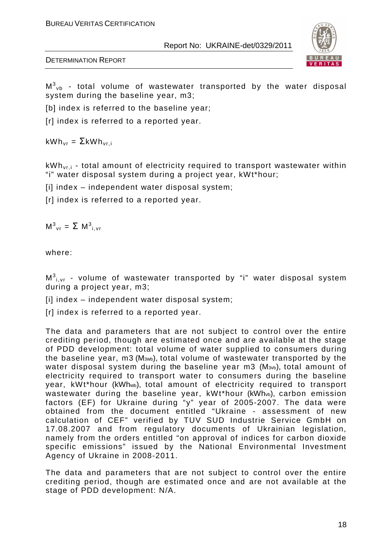



 $\textsf{M}^{3}{}_{\sf vb}$  - total volume of wastewater transported by the water disposal system during the baseline year, m3;

[b] index is referred to the baseline vear:

[r] index is referred to a reported year.

 $kWh_{vr} = \Sigma kWh_{vri}$ 

 $kWh_{\text{vri}}$  - total amount of electricity required to transport wastewater within "i" water disposal system during a project year, kWt\*hour;

[i] index – independent water disposal system;

[r] index is referred to a reported year.

 $M^3$ <sub>vr</sub> =  $\Sigma$   $M^3$ <sub>i, vr</sub>

where:

 $\textsf{M}^{3}{}_{\mathsf{i},\mathsf{vr}}$  - volume of wastewater transported by "i" water disposal system during a project year, m3;

 $[ii]$  index – independent water disposal system;

[r] index is referred to a reported year.

The data and parameters that are not subject to control over the entire crediting period, though are estimated once and are available at the stage of PDD development: total volume of water supplied to consumers during the baseline year, m3 (M3wb), total volume of wastewater transported by the water disposal system during the baseline year m3 (M<sub>3vb</sub>), total amount of electricity required to transport water to consumers during the baseline year, kWt\*hour (kWh<sup>w</sup>b), total amount of electricity required to transport wastewater during the baseline year, kWt\*hour (kWh<sub>vb</sub>), carbon emission factors (EF) for Ukraine during "y" year of 2005-2007. The data were obtained from the document entitled "Ukraine - assessment of new calculation of CEF" verified by TUV SUD Industrie Service GmbH on 17.08.2007 and from regulatory documents of Ukrainian legislation, namely from the orders entitled "on approval of indices for carbon dioxide specific emissions" issued by the National Environmental Investment Agency of Ukraine in 2008-2011.

The data and parameters that are not subject to control over the entire crediting period, though are estimated once and are not available at the stage of PDD development: N/A.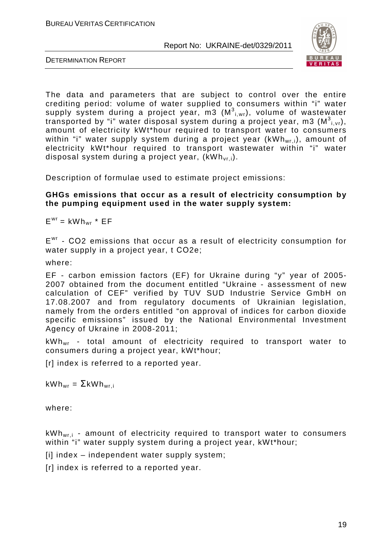

DETERMINATION REPORT

The data and parameters that are subject to control over the entire crediting period: volume of water supplied to consumers within "i" water supply system during a project year, m3  $(\texttt{M}^3_{\text{i, wr}})$ , volume of wastewater transported by "i" water disposal system during a project year, m3 (M $^3$ <sub>i,vr</sub>), amount of electricity kWt\*hour required to transport water to consumers within "i" water supply system during a project year (kWh<sub>wri</sub>), amount of electricity kWt\*hour required to transport wastewater within "i" water disposal system during a project year,  $(kWh_{\rm vr,i})$ .

Description of formulae used to estimate project emissions:

#### **GHGs emissions that occur as a result of electricity consumption by the pumping equipment used in the water supply system:**

 $E<sup>wr</sup> = kWh<sub>wr</sub> * EF$ 

E<sup>wr</sup> - CO2 emissions that occur as a result of electricity consumption for water supply in a project year, t CO2e;

where:

EF - carbon emission factors (EF) for Ukraine during "y" year of 2005- 2007 obtained from the document entitled "Ukraine - assessment of new calculation of CEF" verified by TUV SUD Industrie Service GmbH on 17.08.2007 and from regulatory documents of Ukrainian legislation, namely from the orders entitled "on approval of indices for carbon dioxide specific emissions" issued by the National Environmental Investment Agency of Ukraine in 2008-2011;

kWhwr - total amount of electricity required to transport water to consumers during a project year, kWt\*hour;

[r] index is referred to a reported year.

 $kWh_{wr} = \sum kWh_{wr,i}$ 

where:

 $kWh_{wri}$  - amount of electricity required to transport water to consumers within "i" water supply system during a project year, kWt\*hour;

 $[ii]$  index – independent water supply system;

[r] index is referred to a reported year.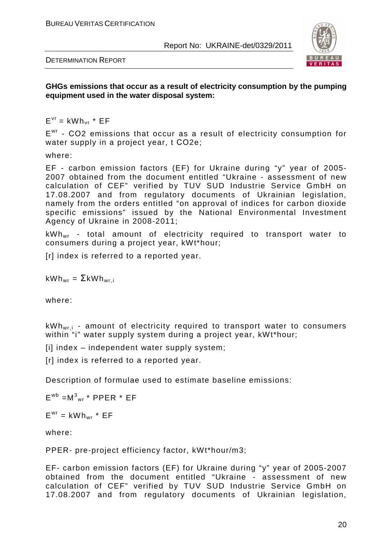

DETERMINATION REPORT

**GHGs emissions that occur as a result of electricity consumption by the pumping equipment used in the water disposal system:**

 $E^{vr}$  = kWh<sub>vr</sub> \*  $EF$ 

E<sup>wr</sup> - CO2 emissions that occur as a result of electricity consumption for water supply in a project year, t СО2e;

where:

EF - carbon emission factors (EF) for Ukraine during "y" year of 2005- 2007 obtained from the document entitled "Ukraine - assessment of new calculation of CEF" verified by TUV SUD Industrie Service GmbH on 17.08.2007 and from regulatory documents of Ukrainian legislation, namely from the orders entitled "on approval of indices for carbon dioxide specific emissions" issued by the National Environmental Investment Agency of Ukraine in 2008-2011;

kWhwr - total amount of electricity required to transport water to consumers during a project year, kWt\*hour;

[r] index is referred to a reported year.

 $kWh_{wr} = \Sigma kWh_{wr}$ 

where:

 $kWh_{wri}$  - amount of electricity required to transport water to consumers within "i" water supply system during a project year, kWt\*hour;

[i] index – independent water supply system;

[r] index is referred to a reported year.

Description of formulae used to estimate baseline emissions:

 $E^{wb} = M^3_{wr}$  \* PPER \* EF

 $E^{wr} = kWh_{wr} * EF$ 

where:

PPER- pre-project efficiency factor, kWt\*hour/m3;

EF- carbon emission factors (EF) for Ukraine during "y" year of 2005-2007 obtained from the document entitled "Ukraine - assessment of new calculation of CEF" verified by TUV SUD Industrie Service GmbH on 17.08.2007 and from regulatory documents of Ukrainian legislation,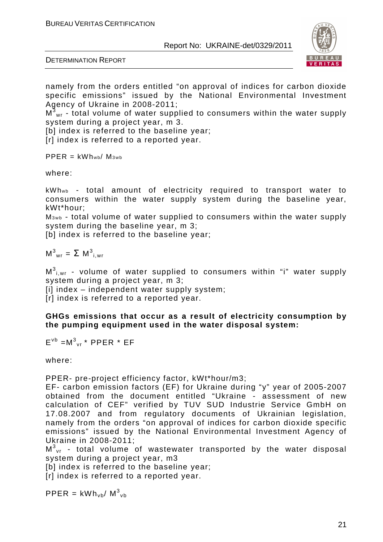



namely from the orders entitled "on approval of indices for carbon dioxide specific emissions" issued by the National Environmental Investment Agency of Ukraine in 2008-2011;

 $\texttt{M}^\texttt{3}\textsubscript{wr}$  - total volume of water supplied to consumers within the water supply system during a project year, m 3.

[b] index is referred to the baseline year;

[r] index is referred to a reported year.

 $PPER = KWhwb/M3wb$ 

where:

kWhwb - total amount of electricity required to transport water to consumers within the water supply system during the baseline year, kWt\*hour;

M<sub>3wb</sub> - total volume of water supplied to consumers within the water supply system during the baseline year, m 3;

[b] index is referred to the baseline year;

 $M^3$ <sub>wr</sub> =  $\Sigma M^3$ <sub>i,wr</sub>

 $\textsf{M}^{3}{}_{\mathsf{i},\mathsf{wr}}$  - volume of water supplied to consumers within "i" water supply system during a project year, m 3;

[i] index – independent water supply system;

[r] index is referred to a reported year.

**GHGs emissions that occur as a result of electricity consumption by the pumping equipment used in the water disposal system:** 

 $E^{\nu b} = M^3{}_{vr}$  \* PPER \* EF

where:

PPER- pre-project efficiency factor, kWt\*hour/m3;

EF- carbon emission factors (EF) for Ukraine during "y" year of 2005-2007 obtained from the document entitled "Ukraine - assessment of new calculation of CEF" verified by TUV SUD Industrie Service GmbH on 17.08.2007 and from regulatory documents of Ukrainian legislation, namely from the orders "on approval of indices for carbon dioxide specific emissions" issued by the National Environmental Investment Agency of Ukraine in 2008-2011;

 $\textsf{M}^{3}\rm_{vr}$  - total volume of wastewater transported by the water disposal system during a project year, m3

[b] index is referred to the baseline year;

[r] index is referred to a reported year.

 $\text{PPER} = \text{kWh}_{\text{vb}} / \text{M}^3_{\text{vb}}$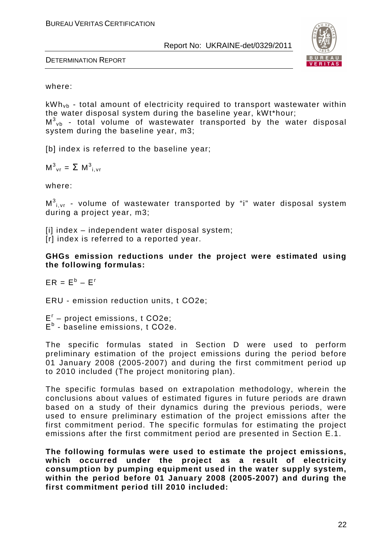

DETERMINATION REPORT

#### where:

 $kWh<sub>vb</sub>$  - total amount of electricity required to transport wastewater within the water disposal system during the baseline year, kWt\*hour;  $M_{\nu b}^3$  - total volume of wastewater transported by the water disposal system during the baseline year, m3;

[b] index is referred to the baseline year;

 $M^3$ <sub>vr</sub> =  $\Sigma$   $M^3$ <sub>i, vr</sub>

where:

 $\textsf{M}^{3}{}_{\mathsf{i},\mathsf{vr}}$  - volume of wastewater transported by "i" water disposal system during a project year, m3;

 $[ii]$  index – independent water disposal system; [r] index is referred to a reported year.

**GHGs emission reductions under the project were estimated using the following formulas:** 

 $ER = E^b - E^r$ 

ERU - emission reduction units, t СО2е;

Е г – project emissions, t СО2е; Е b - baseline emissions, t СО2е.

The specific formulas stated in Section D were used to perform preliminary estimation of the project emissions during the period before 01 January 2008 (2005-2007) and during the first commitment period up to 2010 included (The project monitoring plan).

The specific formulas based on extrapolation methodology, wherein the conclusions about values of estimated figures in future periods are drawn based on a study of their dynamics during the previous periods, were used to ensure preliminary estimation of the project emissions after the first commitment period. The specific formulas for estimating the project emissions after the first commitment period are presented in Section E.1.

**The following formulas were used to estimate the project emissions, which occurred under the project as a result of electricity consumption by pumping equipment used in the water supply system, within the period before 01 January 2008 (2005-2007) and during the first commitment period till 2010 included:**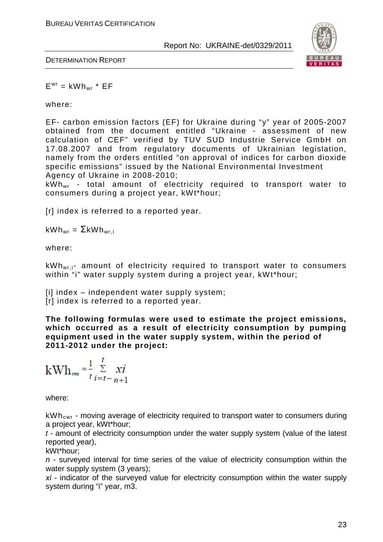

DETERMINATION REPORT

 $E^{wr} = kWh_{wr} * EF$ 

where:

EF- carbon emission factors (EF) for Ukraine during "y" year of 2005-2007 obtained from the document entitled "Ukraine - assessment of new calculation of CEF" verified by TUV SUD Industrie Service GmbH on 17.08.2007 and from regulatory documents of Ukrainian legislation, namely from the orders entitled "on approval of indices for carbon dioxide specific emissions" issued by the National Environmental Investment Agency of Ukraine in 2008-2010;

kWhwr - total amount of electricity required to transport water to consumers during a project year, kWt\*hour;

[r] index is referred to a reported year.

 $kWh_{wr} = \sum kWh_{wr,i}$ 

where:

kWh<sub>wr, i</sub>- amount of electricity required to transport water to consumers within "i" water supply system during a project year, kWt\*hour;

[i] index – independent water supply system; [r] index is referred to a reported year.

**The following formulas were used to estimate the project emissions, which occurred as a result of electricity consumption by pumping equipment used in the water supply system, within the period of 2011-2012 under the project:**

$$
kWh_{\text{ewr}} = \frac{1}{t} \sum_{i=t-n+1}^{t} xi
$$

where:

 $kWh_{cwr}$  - moving average of electricity required to transport water to consumers during a project year, kWt\*hour;

t - amount of electricity consumption under the water supply system (value of the latest reported year),

kWt\*hour;

 $n$  - surveyed interval for time series of the value of electricity consumption within the water supply system (3 years):

*хі* - indicator of the surveyed value for electricity consumption within the water supply system during "i" year, m3.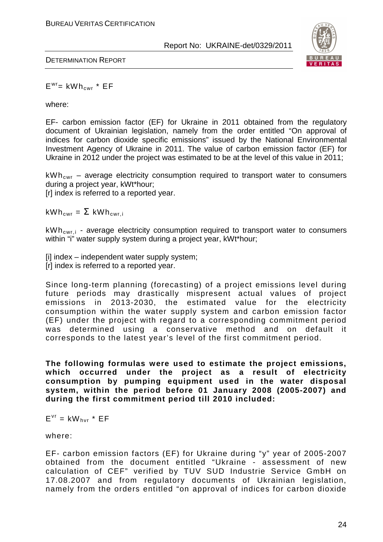

DETERMINATION REPORT

 $E^{wr}$  = kWh<sub>cwr</sub> \*  $EF$ 

where:

EF- carbon emission factor (EF) for Ukraine in 2011 obtained from the regulatory document of Ukrainian legislation, namely from the order entitled "On approval of indices for carbon dioxide specific emissions" issued by the National Environmental Investment Agency of Ukraine in 2011. The value of carbon emission factor (EF) for Ukraine in 2012 under the project was estimated to be at the level of this value in 2011;

 $kWh_{cwr}$  – average electricity consumption required to transport water to consumers during a project year, kWt\*hour;

[r] index is referred to a reported year.

 $kWh_{\text{cwr}} = \sum kWh_{\text{cwr},i}$ 

kWh<sub>cwri</sub> - average electricity consumption required to transport water to consumers within "i" water supply system during a project year, kWt\*hour;

[i] index – independent water supply system; [r] index is referred to a reported year.

Since long-term planning (forecasting) of a project emissions level during future periods may drastically mispresent actual values of project emissions in 2013-2030, the estimated value for the electricity consumption within the water supply system and carbon emission factor (EF) under the project with regard to a corresponding commitment period was determined using a conservative method and on default it corresponds to the latest year's level of the first commitment period.

**The following formulas were used to estimate the project emissions, which occurred under the project as a result of electricity consumption by pumping equipment used in the water disposal system, within the period before 01 January 2008 (2005-2007) and during the first commitment period till 2010 included:** 

 $E^{vr} = kW_{hvr} * EF$ 

where:

EF- carbon emission factors (EF) for Ukraine during "y" year of 2005-2007 obtained from the document entitled "Ukraine - assessment of new calculation of CEF" verified by TUV SUD Industrie Service GmbH on 17.08.2007 and from regulatory documents of Ukrainian legislation, namely from the orders entitled "on approval of indices for carbon dioxide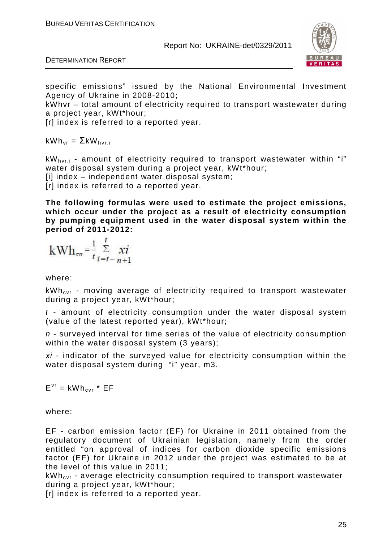



specific emissions" issued by the National Environmental Investment Agency of Ukraine in 2008-2010;

kWhvr – total amount of electricity required to transport wastewater during a project year, kWt\*hour;

[r] index is referred to a reported year.

kWh<sub>νr</sub> = ΣkW<sub>hνr,i</sub>

 $kW_{\text{hvi}}$  - amount of electricity required to transport wastewater within "i" water disposal system during a project year, kWt\*hour; [i] index – independent water disposal system;

[r] index is referred to a reported year.

**The following formulas were used to estimate the project emissions, which occur under the project as a result of electricity consumption by pumping equipment used in the water disposal system within the period of 2011-2012:** 

$$
kWh_{\text{cv}} = \frac{1}{t} \sum_{i=t-n+1}^{t} xi
$$

where:

 $kWh_{\text{cvr}}$  - moving average of electricity required to transport wastewater during a project year, kWt\*hour;

 $t$  - amount of electricity consumption under the water disposal system (value of the latest reported year), kWt\*hour;

n - surveyed interval for time series of the value of electricity consumption within the water disposal system (3 years);

*хі* - indicator of the surveyed value for electricity consumption within the water disposal system during "i" year, m3.

 $E^{vr}$  = kWh<sub>cvr</sub> \*  $EF$ 

where:

EF - carbon emission factor (EF) for Ukraine in 2011 obtained from the regulatory document of Ukrainian legislation, namely from the order entitled "on approval of indices for carbon dioxide specific emissions factor (EF) for Ukraine in 2012 under the project was estimated to be at the level of this value in 2011;

 $kWh_{\text{cyc}}$  - average electricity consumption required to transport wastewater during a project year, kWt\*hour;

[r] index is referred to a reported year.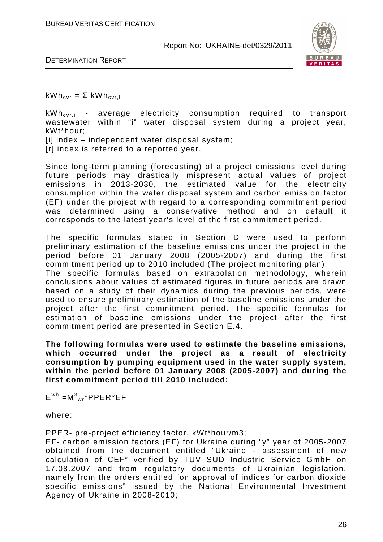

DETERMINATION REPORT

 $kWh_{\text{cvr}} = \Sigma kWh_{\text{cvr}}$ 

 $kWh_{\text{cyl},i}$  - average electricity consumption required to transport wastewater within "i" water disposal system during a project year, kWt\*hour; [i] index – independent water disposal system;

[r] index is referred to a reported year.

Since long-term planning (forecasting) of a project emissions level during future periods may drastically mispresent actual values of project emissions in 2013-2030, the estimated value for the electricity consumption within the water disposal system and carbon emission factor (EF) under the project with regard to a corresponding commitment period was determined using a conservative method and on default it corresponds to the latest year's level of the first commitment period.

The specific formulas stated in Section D were used to perform preliminary estimation of the baseline emissions under the project in the period before 01 January 2008 (2005-2007) and during the first commitment period up to 2010 included (The project monitoring plan). The specific formulas based on extrapolation methodology, wherein conclusions about values of estimated figures in future periods are drawn based on a study of their dynamics during the previous periods, were used to ensure preliminary estimation of the baseline emissions under the project after the first commitment period. The specific formulas for estimation of baseline emissions under the project after the first commitment period are presented in Section E.4.

**The following formulas were used to estimate the baseline emissions, which occurred under the project as a result of electricity consumption by pumping equipment used in the water supply system, within the period before 01 January 2008 (2005-2007) and during the first commitment period till 2010 included:** 

 $E^{wb} = M^3$ <sub>wr</sub>\*PPER\*EF

where:

PPER- pre-project efficiency factor, kWt\*hour/m3;

EF- carbon emission factors (EF) for Ukraine during "y" year of 2005-2007 obtained from the document entitled "Ukraine - assessment of new calculation of CEF" verified by TUV SUD Industrie Service GmbH on 17.08.2007 and from regulatory documents of Ukrainian legislation, namely from the orders entitled "on approval of indices for carbon dioxide specific emissions" issued by the National Environmental Investment Agency of Ukraine in 2008-2010;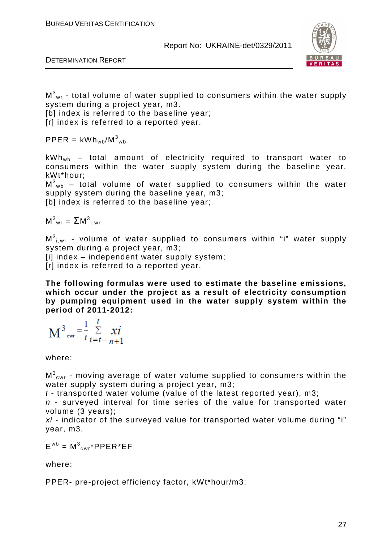



 $\textsf{M}^{3}\textsf{_{wr}}$  - total volume of water supplied to consumers within the water supply system during a project year, m3.

[b] index is referred to the baseline year;

[r] index is referred to a reported year.

 $\mathsf{PPER} = \mathsf{kWh}_{\mathsf{wb}} / \mathsf{M}^3_{\mathsf{wb}}$ 

 $kWh_{wb}$  – total amount of electricity required to transport water to consumers within the water supply system during the baseline year, kWt\*hour;

 $\textsf{M}^{3}\textsf{_{wb}}$  – total volume of water supplied to consumers within the water supply system during the baseline year, m3;

[b] index is referred to the baseline year;

 $M^3$ <sub>wr</sub> =  $\sum M^3$ <sub>i, wr</sub>

 $\textsf{M}^{3}{}_{\mathsf{i},\mathsf{wr}}$  - volume of water supplied to consumers within "i" water supply system during a project year, m3;

[i] index – independent water supply system;

[r] index is referred to a reported year.

**The following formulas were used to estimate the baseline emissions, which occur under the project as a result of electricity consumption by pumping equipment used in the water supply system within the period of 2011-2012:** 

$$
M^{3}_{\text{ewr}} = \frac{1}{t} \sum_{i=t-n+1}^{t} x i
$$

where:

 $\textsf{M}^{3} _{\textsf{cwr}}$  - moving average of water volume supplied to consumers within the water supply system during a project year, m3;

 $t$  - transported water volume (value of the latest reported year), m3:

 $n$  - surveyed interval for time series of the value for transported water volume (3 years);

*хі* - indicator of the surveyed value for transported water volume during "i" year, m3.

 $E^{wb} = M^3_{cwr} * PPER * EF$ 

where:

PPER- pre-project efficiency factor, kWt\*hour/m3;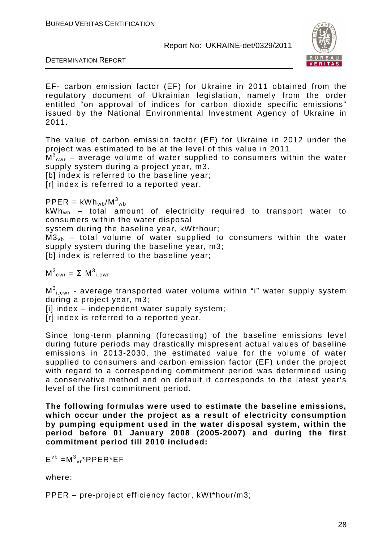

DETERMINATION REPORT

EF- carbon emission factor (EF) for Ukraine in 2011 obtained from the regulatory document of Ukrainian legislation, namely from the order entitled "on approval of indices for carbon dioxide specific emissions" issued by the National Environmental Investment Agency of Ukraine in 2011.

The value of carbon emission factor (EF) for Ukraine in 2012 under the project was estimated to be at the level of this value in 2011.  $\mathsf{M}^3_{\mathrm{cwr}}$  – average volume of water supplied to consumers within the water supply system during a project year, m3.

[b] index is referred to the baseline year;

[r] index is referred to a reported year.

 $\mathsf{PPER} = \mathsf{kWh}_{\mathsf{wb}} / \mathsf{M}^3{}_{\mathsf{wb}}$ 

 $kWh_{wb}$  – total amount of electricity required to transport water to consumers within the water disposal

system during the baseline year, kWt\*hour;

 $M3_{\nu b}$  – total volume of water supplied to consumers within the water supply system during the baseline year, m3;

[b] index is referred to the baseline year;

 $M^3_{\text{cwr}} = \Sigma M^3_{i,\text{cwr}}$ 

 $\textsf{M}^{3}{}_{\mathsf{i, \text{cwr}}}$  - average transported water volume within "i" water supply system during a project year, m3;

[i] index – independent water supply system;

[r] index is referred to a reported vear.

Since long-term planning (forecasting) of the baseline emissions level during future periods may drastically mispresent actual values of baseline emissions in 2013-2030, the estimated value for the volume of water supplied to consumers and carbon emission factor (EF) under the project with regard to a corresponding commitment period was determined using a conservative method and on default it corresponds to the latest year's level of the first commitment period.

**The following formulas were used to estimate the baseline emissions, which occur under the project as a result of electricity consumption by pumping equipment used in the water disposal system, within the period before 01 January 2008 (2005-2007) and during the first commitment period till 2010 included:** 

 $E^{\text{vb}} = M^3{}_{\text{vr}}$ \*PPER\*EF

where:

PPER – pre-project efficiency factor, kWt\*hour/m3;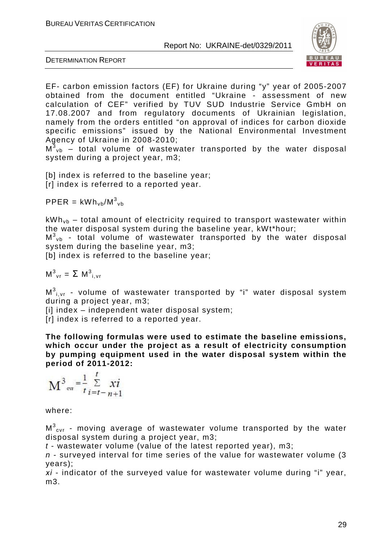

DETERMINATION REPORT

EF- carbon emission factors (EF) for Ukraine during "y" year of 2005-2007 obtained from the document entitled "Ukraine - assessment of new calculation of CEF" verified by TUV SUD Industrie Service GmbH on 17.08.2007 and from regulatory documents of Ukrainian legislation, namely from the orders entitled "on approval of indices for carbon dioxide specific emissions" issued by the National Environmental Investment Agency of Ukraine in 2008-2010;

 $M_{\nu b}^3$  – total volume of wastewater transported by the water disposal system during a project year, m3;

[b] index is referred to the baseline year; [r] index is referred to a reported year.

 $\mathsf{PPER} = \mathsf{kWhv}_\mathsf{bb} / \mathsf{M}^3\mathsf{v}_\mathsf{bb}$ 

 $kWh_{vb}$  – total amount of electricity required to transport wastewater within the water disposal system during the baseline year, kWt\*hour;  $M_{\nu b}^3$  - total volume of wastewater transported by the water disposal system during the baseline year, m3;

[b] index is referred to the baseline year;

 $M^3$ <sub>vr</sub> =  $\Sigma$   $M^3$ <sub>i, vr</sub>

 $\textsf{M}^{3}{}_{\mathsf{i},\mathsf{vr}}$  - volume of wastewater transported by "i" water disposal system during a project year, m3;

[i] index – independent water disposal system;

[r] index is referred to a reported year.

**The following formulas were used to estimate the baseline emissions, which occur under the project as a result of electricity consumption by pumping equipment used in the water disposal system within the period of 2011-2012:** 

$$
M^{3} = \frac{1}{t} \sum_{i=t-n+1}^{t} x i
$$

where:

 $\textsf{M}^{3}{}_{\mathsf{cvr}}$  - moving average of wastewater volume transported by the water disposal system during a project year, m3;

 $t$  - wastewater volume (value of the latest reported year), m3;

 $n$  - surveyed interval for time series of the value for wastewater volume (3) years);

*хі* - indicator of the surveyed value for wastewater volume during "i" year, m3.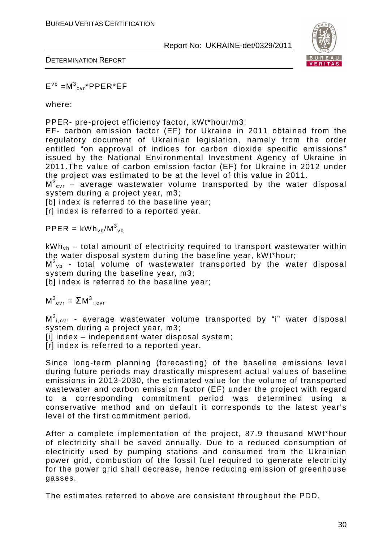

DETERMINATION REPORT

 $E^{\nu b} = M^{3}{}_{cvr}$ \*PPER\*EF

where:

PPER- pre-project efficiency factor, kWt\*hour/m3;

EF- carbon emission factor (EF) for Ukraine in 2011 obtained from the regulatory document of Ukrainian legislation, namely from the order entitled "on approval of indices for carbon dioxide specific emissions" issued by the National Environmental Investment Agency of Ukraine in 2011.The value of carbon emission factor (EF) for Ukraine in 2012 under the project was estimated to be at the level of this value in 2011.

 $M^3_{\text{cvr}}$  – average wastewater volume transported by the water disposal system during a project year, m3;

[b] index is referred to the baseline year;

[r] index is referred to a reported year.

 $\mathsf{PPER} = \mathsf{kWhv}_\mathsf{bb} / \mathsf{M}^3\mathsf{v}_\mathsf{bb}$ 

 $kWh_{vb}$  – total amount of electricity required to transport wastewater within the water disposal system during the baseline year, kWt\*hour;

 $M_{\nu b}^3$  - total volume of wastewater transported by the water disposal system during the baseline year, m3;

[b] index is referred to the baseline year;

 $M^3_{\text{cvr}} = \Sigma M^3_{i,\text{cvr}}$ 

 $\textsf{M}^{3}{}_{\mathsf{i},\mathsf{c}\mathsf{vr}}$  - average wastewater volume transported by "i" water disposal system during a project year, m3;

[i] index – independent water disposal system;

[r] index is referred to a reported year.

Since long-term planning (forecasting) of the baseline emissions level during future periods may drastically mispresent actual values of baseline emissions in 2013-2030, the estimated value for the volume of transported wastewater and carbon emission factor (EF) under the project with regard to a corresponding commitment period was determined using a conservative method and on default it corresponds to the latest year's level of the first commitment period.

After a complete implementation of the project, 87.9 thousand MWt\*hour of electricity shall be saved annually. Due to a reduced consumption of electricity used by pumping stations and consumed from the Ukrainian power grid, combustion of the fossil fuel required to generate electricity for the power grid shall decrease, hence reducing emission of greenhouse gasses.

The estimates referred to above are consistent throughout the PDD.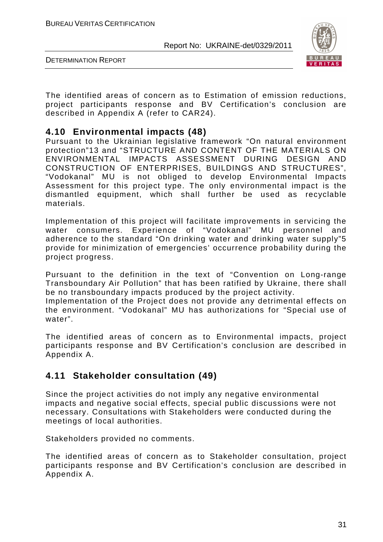

DETERMINATION REPORT

The identified areas of concern as to Estimation of emission reductions, project participants response and BV Certification's conclusion are described in Appendix A (refer to CAR24).

#### **4.10 Environmental impacts (48)**

Pursuant to the Ukrainian legislative framework "On natural environment protection"13 and "STRUCTURE AND CONTENT OF THE MATERIALS ON ENVIRONMENTAL IMPACTS ASSESSMENT DURING DESIGN AND CONSTRUCTION OF ENTERPRISES, BUILDINGS AND STRUCTURES", "Vodokanal" MU is not obliged to develop Environmental Impacts Assessment for this project type. The only environmental impact is the dismantled equipment, which shall further be used as recyclable materials.

Implementation of this project will facilitate improvements in servicing the water consumers. Experience of "Vodokanal" MU personnel and adherence to the standard "On drinking water and drinking water supply"5 provide for minimization of emergencies' occurrence probability during the project progress.

Pursuant to the definition in the text of "Convention on Long-range Transboundary Air Pollution" that has been ratified by Ukraine, there shall be no transboundary impacts produced by the project activity.

Implementation of the Project does not provide any detrimental effects on the environment. "Vodokanal" MU has authorizations for "Special use of water".

The identified areas of concern as to Environmental impacts, project participants response and BV Certification's conclusion are described in Appendix A.

## **4.11 Stakeholder consultation (49)**

Since the project activities do not imply any negative environmental impacts and negative social effects, special public discussions were not necessary. Consultations with Stakeholders were conducted during the meetings of local authorities.

Stakeholders provided no comments.

The identified areas of concern as to Stakeholder consultation, project participants response and BV Certification's conclusion are described in Appendix A.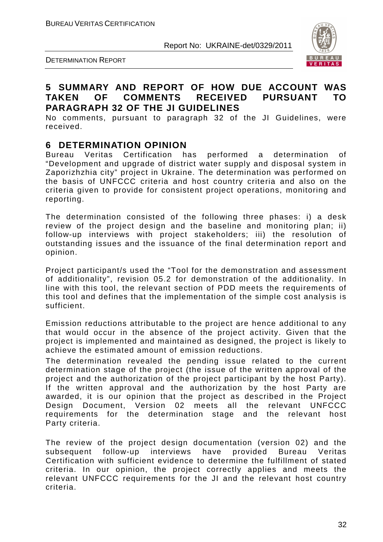

# $VFR$

#### **5 SUMMARY AND REPORT OF HOW DUE ACCOUNT WAS TAKEN OF COMMENTS RECEIVED PURSUANT TO PARAGRAPH 32 OF THE JI GUIDELINES**

No comments, pursuant to paragraph 32 of the JI Guidelines, were received.

#### **6 DETERMINATION OPINION**

Bureau Veritas Certification has performed a determination of "Development and upgrade of district water supply and disposal system in Zaporizhzhia city" project in Ukraine. The determination was performed on the basis of UNFCCC criteria and host country criteria and also on the criteria given to provide for consistent project operations, monitoring and reporting.

The determination consisted of the following three phases: i) a desk review of the project design and the baseline and monitoring plan; ii) follow-up interviews with project stakeholders; iii) the resolution of outstanding issues and the issuance of the final determination report and opinion.

Project participant/s used the "Tool for the demonstration and assessment of additionality", revision 05.2 for demonstration of the additionality. In line with this tool, the relevant section of PDD meets the requirements of this tool and defines that the implementation of the simple cost analysis is sufficient.

Emission reductions attributable to the project are hence additional to any that would occur in the absence of the project activity. Given that the project is implemented and maintained as designed, the project is likely to achieve the estimated amount of emission reductions.

The determination revealed the pending issue related to the current determination stage of the project (the issue of the written approval of the project and the authorization of the project participant by the host Party). If the written approval and the authorization by the host Party are awarded, it is our opinion that the project as described in the Project Design Document, Version 02 meets all the relevant UNFCCC requirements for the determination stage and the relevant host Party criteria.

The review of the project design documentation (version 02) and the subsequent follow-up interviews have provided Bureau Veritas Certification with sufficient evidence to determine the fulfillment of stated criteria. In our opinion, the project correctly applies and meets the relevant UNFCCC requirements for the JI and the relevant host country criteria.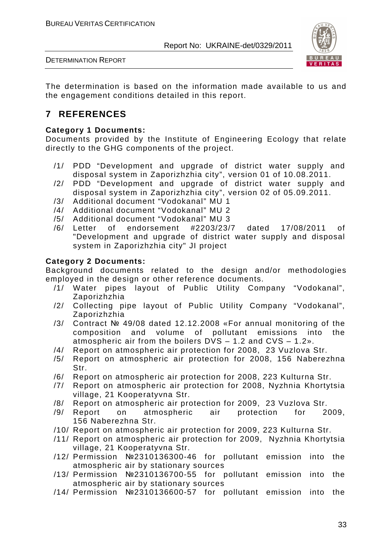

DETERMINATION REPORT

The determination is based on the information made available to us and the engagement conditions detailed in this report.

## **7 REFERENCES**

#### **Category 1 Documents:**

Documents provided by the Institute of Engineering Ecology that relate directly to the GHG components of the project.

- /1/ PDD "Development and upgrade of district water supply and disposal system in Zaporizhzhia city", version 01 of 10.08.2011.
- /2/ PDD "Development and upgrade of district water supply and disposal system in Zaporizhzhia city", version 02 of 05.09.2011.
- /3/ Additional document "Vodokanal" MU 1
- /4/ Additional document "Vodokanal" MU 2
- /5/ Additional document "Vodokanal" MU 3
- /6/ Letter of endorsement #2203/23/7 dated 17/08/2011 of "Development and upgrade of district water supply and disposal system in Zaporizhzhia city" JI project

#### **Category 2 Documents:**

Background documents related to the design and/or methodologies employed in the design or other reference documents.

- /1/ Water pipes layout of Public Utility Company "Vodokanal", Zaporizhzhia
- /2/ Collecting pipe layout of Public Utility Company "Vodokanal", Zaporizhzhia
- /3/ Contract № 49/08 dated 12.12.2008 «For annual monitoring of the composition and volume of pollutant emissions into the atmospheric air from the boilers DVS – 1.2 and CVS – 1.2».
- /4/ Report on atmospheric air protection for 2008, 23 Vuzlova Str.
- /5/ Report on atmospheric air protection for 2008, 156 Naberezhna Str.
- /6/ Report on atmospheric air protection for 2008, 223 Kulturna Str.
- /7/ Report on atmospheric air protection for 2008, Nyzhnia Khortytsia village, 21 Kooperatyvna Str.
- /8/ Report on atmospheric air protection for 2009, 23 Vuzlova Str.
- /9/ Report on atmospheric air protection for 2009, 156 Naberezhna Str.
- /10/ Report on atmospheric air protection for 2009, 223 Kulturna Str.
- /11/ Report on atmospheric air protection for 2009, Nyzhnia Khortytsia village, 21 Kooperatyvna Str.
- /12/ Permission №2310136300-46 for pollutant emission into the atmospheric air by stationary sources
- /13/ Permission №2310136700-55 for pollutant emission into the atmospheric air by stationary sources
- /14/ Permission №2310136600-57 for pollutant emission into the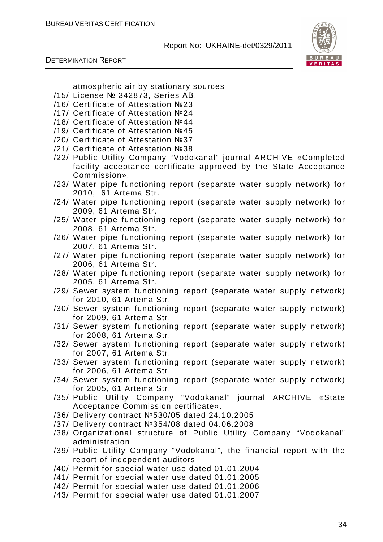

DETERMINATION REPORT

atmospheric air by stationary sources

- /15/ License № 342873, Series АВ.
- /16/ Certificate of Attestation №23
- /17/ Certificate of Attestation №24
- /18/ Certificate of Attestation №44
- /19/ Certificate of Attestation №45
- /20/ Certificate of Attestation №37
- /21/ Certificate of Attestation №38
- /22/ Public Utility Company "Vodokanal" journal ARCHIVE «Completed facility acceptance certificate approved by the State Acceptance Commission».
- /23/ Water pipe functioning report (separate water supply network) for 2010, 61 Artema Str.
- /24/ Water pipe functioning report (separate water supply network) for 2009, 61 Artema Str.
- /25/ Water pipe functioning report (separate water supply network) for 2008, 61 Artema Str.
- /26/ Water pipe functioning report (separate water supply network) for 2007, 61 Artema Str.
- /27/ Water pipe functioning report (separate water supply network) for 2006, 61 Artema Str.
- /28/ Water pipe functioning report (separate water supply network) for 2005, 61 Artema Str.
- /29/ Sewer system functioning report (separate water supply network) for 2010, 61 Artema Str.
- /30/ Sewer system functioning report (separate water supply network) for 2009, 61 Artema Str.
- /31/ Sewer system functioning report (separate water supply network) for 2008, 61 Artema Str.
- /32/ Sewer system functioning report (separate water supply network) for 2007, 61 Artema Str.
- /33/ Sewer system functioning report (separate water supply network) for 2006, 61 Artema Str.
- /34/ Sewer system functioning report (separate water supply network) for 2005, 61 Artema Str.
- /35/ Public Utility Company "Vodokanal" journal ARCHIVE «State Acceptance Commission certificate».
- /36/ Delivery contract №530/05 dated 24.10.2005
- /37/ Delivery contract №354/08 dated 04.06.2008
- /38/ Organizational structure of Public Utility Company "Vodokanal" administration
- /39/ Public Utility Company "Vodokanal", the financial report with the report of independent auditors
- /40/ Permit for special water use dated 01.01.2004
- /41/ Permit for special water use dated 01.01.2005
- /42/ Permit for special water use dated 01.01.2006
- /43/ Permit for special water use dated 01.01.2007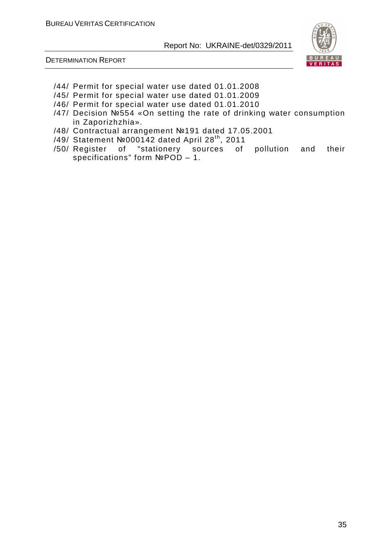

- /44/ Permit for special water use dated 01.01.2008
- /45/ Permit for special water use dated 01.01.2009
- /46/ Permit for special water use dated 01.01.2010
- /47/ Decision №554 «On setting the rate of drinking water consumption in Zaporizhzhia».
- /48/ Contractual arrangement №191 dated 17.05.2001
- /49/ Statement №000142 dated April 28th, 2011
- /50/ Register of "stationery sources of pollution and their specifications" form №POD – 1.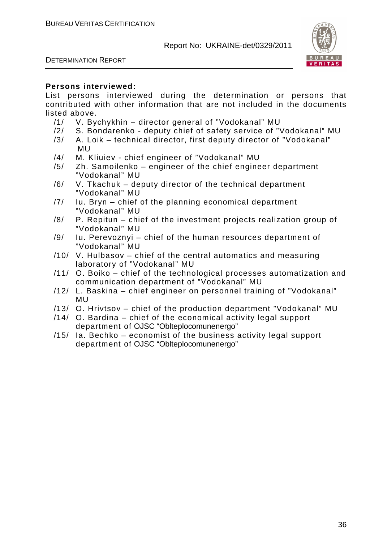DETERMINATION REPORT



#### **Persons interviewed:**

List persons interviewed during the determination or persons that contributed with other information that are not included in the documents listed above.

- /1/ V. Bychykhin director general of "Vodokanal" MU
- /2/ S. Bondarenko deputy chief of safety service of "Vodokanal" MU
- /3/ A. Loik technical director, first deputy director of "Vodokanal" MU
- /4/ M. Kliuiev chief engineer of "Vodokanal" MU
- /5/ Zh. Samoilenko engineer of the chief engineer department "Vodokanal" MU
- /6/ V. Tkachuk deputy director of the technical department "Vodokanal" MU
- /7/ Iu. Bryn chief of the planning economical department "Vodokanal" MU
- /8/ P. Repitun chief of the investment projects realization group of "Vodokanal" MU
- /9/ Iu. Perevoznyi chief of the human resources department of "Vodokanal" MU
- /10/ V. Hulbasov chief of the central automatics and measuring laboratory of "Vodokanal" MU
- /11/ O. Boiko chief of the technological processes automatization and communication department of "Vodokanal" MU
- /12/ L. Baskina chief engineer on personnel training of "Vodokanal" MU
- /13/ O. Hrivtsov chief of the production department "Vodokanal" MU
- /14/ O. Bardina chief of the economical activity legal support department of OJSC "Oblteplocomunenergo"
- /15/ Ia. Bechko economist of the business activity legal support department of OJSC "Oblteplocomunenergo"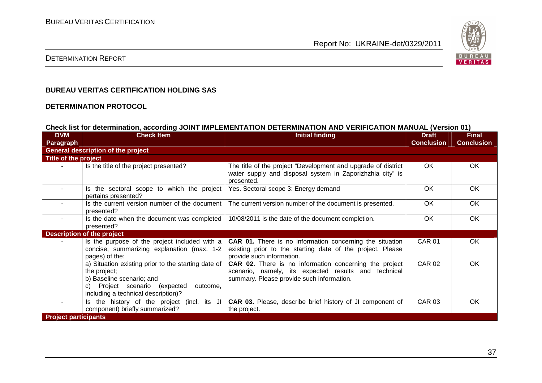

#### DETERMINATION REPORT

#### **BUREAU VERITAS CERTIFICATION HOLDING SAS**

#### **DETERMINATION PROTOCOL**

#### **Check list for determination, according JOINT IMPLEMENTATION DETERMINATION AND VERIFICATION MANUAL (Version 01)**

| <b>DVM</b>                  | <b>Check Item</b>                                                                                                                                                                       | <b>Initial finding</b>                                                                                                                                      | <b>Draft</b>      | <b>Final</b>      |
|-----------------------------|-----------------------------------------------------------------------------------------------------------------------------------------------------------------------------------------|-------------------------------------------------------------------------------------------------------------------------------------------------------------|-------------------|-------------------|
| Paragraph                   |                                                                                                                                                                                         |                                                                                                                                                             | <b>Conclusion</b> | <b>Conclusion</b> |
|                             | <b>General description of the project</b>                                                                                                                                               |                                                                                                                                                             |                   |                   |
| Title of the project        |                                                                                                                                                                                         |                                                                                                                                                             |                   |                   |
|                             | Is the title of the project presented?                                                                                                                                                  | The title of the project "Development and upgrade of district<br>water supply and disposal system in Zaporizhzhia city" is<br>presented.                    | OK.               | <b>OK</b>         |
| $\blacksquare$              | Is the sectoral scope to which the project<br>pertains presented?                                                                                                                       | Yes. Sectoral scope 3: Energy demand                                                                                                                        | OK.               | <b>OK</b>         |
| $\sim$                      | Is the current version number of the document<br>presented?                                                                                                                             | The current version number of the document is presented.                                                                                                    | <b>OK</b>         | OK.               |
| $\sim$                      | Is the date when the document was completed<br>presented?                                                                                                                               | 10/08/2011 is the date of the document completion.                                                                                                          | OK                | OK                |
|                             | <b>Description of the project</b>                                                                                                                                                       |                                                                                                                                                             |                   |                   |
|                             | Is the purpose of the project included with a<br>concise, summarizing explanation (max. 1-2<br>pages) of the:                                                                           | <b>CAR 01.</b> There is no information concerning the situation<br>existing prior to the starting date of the project. Please<br>provide such information.  | <b>CAR 01</b>     | OK                |
|                             | a) Situation existing prior to the starting date of<br>the project;<br>b) Baseline scenario; and<br>Project scenario (expected<br>outcome,<br>C)<br>including a technical description)? | CAR 02. There is no information concerning the project<br>scenario, namely, its expected results and technical<br>summary. Please provide such information. | <b>CAR 02</b>     | <b>OK</b>         |
|                             | Is the history of the project (incl. its JI<br>component) briefly summarized?                                                                                                           | <b>CAR 03.</b> Please, describe brief history of JI component of<br>the project.                                                                            | <b>CAR 03</b>     | <b>OK</b>         |
| <b>Project participants</b> |                                                                                                                                                                                         |                                                                                                                                                             |                   |                   |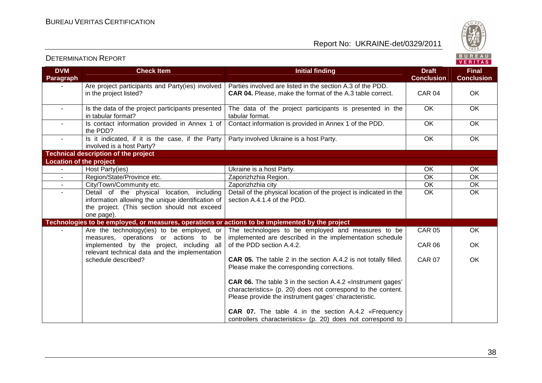

|                                |                                                                                                                                                               |                                                                                                                                                                                            |                                   | VERITAS                           |
|--------------------------------|---------------------------------------------------------------------------------------------------------------------------------------------------------------|--------------------------------------------------------------------------------------------------------------------------------------------------------------------------------------------|-----------------------------------|-----------------------------------|
| <b>DVM</b><br><b>Paragraph</b> | <b>Check Item</b>                                                                                                                                             | <b>Initial finding</b>                                                                                                                                                                     | <b>Draft</b><br><b>Conclusion</b> | <b>Final</b><br><b>Conclusion</b> |
|                                | Are project participants and Party(ies) involved<br>in the project listed?                                                                                    | Parties involved are listed in the section A.3 of the PDD.<br><b>CAR 04.</b> Please, make the format of the A.3 table correct.                                                             | <b>CAR 04</b>                     | OK                                |
| $\sim$                         | Is the data of the project participants presented<br>in tabular format?                                                                                       | The data of the project participants is presented in the<br>tabular format.                                                                                                                | OK                                | OK                                |
|                                | Is contact information provided in Annex 1 of<br>the PDD?                                                                                                     | Contact information is provided in Annex 1 of the PDD.                                                                                                                                     | OK                                | OK                                |
| $\blacksquare$                 | Is it indicated, if it is the case, if the Party<br>involved is a host Party?                                                                                 | Party involved Ukraine is a host Party.                                                                                                                                                    | OK                                | OK                                |
|                                | <b>Technical description of the project</b>                                                                                                                   |                                                                                                                                                                                            |                                   |                                   |
| <b>Location of the project</b> |                                                                                                                                                               |                                                                                                                                                                                            |                                   |                                   |
| $\sim$                         | Host Party(ies)                                                                                                                                               | Ukraine is a host Party.                                                                                                                                                                   | OK                                | OK                                |
|                                | Region/State/Province etc.                                                                                                                                    | Zaporizhzhia Region.                                                                                                                                                                       | $\overline{OK}$                   | OK                                |
| $\sim$                         | City/Town/Community etc.                                                                                                                                      | Zaporizhzhia city                                                                                                                                                                          | OK                                | OK                                |
| $\sim$                         | Detail of the physical location, including<br>information allowing the unique identification of<br>the project. (This section should not exceed<br>one page). | Detail of the physical location of the project is indicated in the<br>section A.4.1.4 of the PDD.                                                                                          | OK                                | OK                                |
|                                | Technologies to be employed, or measures, operations or actions to be implemented by the project                                                              |                                                                                                                                                                                            |                                   |                                   |
|                                | Are the technology(ies) to be employed, or<br>measures, operations or actions to be                                                                           | The technologies to be employed and measures to be<br>implemented are described in the implementation schedule                                                                             | <b>CAR 05</b>                     | OK                                |
|                                | implemented by the project, including all<br>relevant technical data and the implementation                                                                   | of the PDD section A.4.2.                                                                                                                                                                  | <b>CAR 06</b>                     | OK                                |
|                                | schedule described?                                                                                                                                           | <b>CAR 05.</b> The table 2 in the section A.4.2 is not totally filled.<br>Please make the corresponding corrections.                                                                       | <b>CAR 07</b>                     | OK                                |
|                                |                                                                                                                                                               | <b>CAR 06.</b> The table 3 in the section A.4.2 «Instrument gages'<br>characteristics» (p. 20) does not correspond to the content.<br>Please provide the instrument gages' characteristic. |                                   |                                   |
|                                |                                                                                                                                                               | <b>CAR 07.</b> The table 4 in the section A.4.2 «Frequency<br>controllers characteristics» (p. 20) does not correspond to                                                                  |                                   |                                   |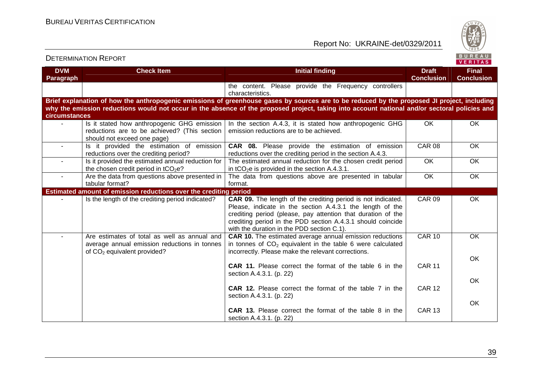DETERMINATION REPORT

Report No: UKRAINE-det/0329/2011



| <b>DVM</b><br><b>Paragraph</b> | <b>Check Item</b>                                                                                                             | <b>Initial finding</b>                                                                                                                                                                                                                                                                                        | <b>Draft</b><br><b>Conclusion</b> | <b>Final</b><br><b>Conclusion</b> |
|--------------------------------|-------------------------------------------------------------------------------------------------------------------------------|---------------------------------------------------------------------------------------------------------------------------------------------------------------------------------------------------------------------------------------------------------------------------------------------------------------|-----------------------------------|-----------------------------------|
|                                |                                                                                                                               | the content. Please provide the Frequency controllers<br>characteristics.                                                                                                                                                                                                                                     |                                   |                                   |
| circumstances                  |                                                                                                                               | Brief explanation of how the anthropogenic emissions of greenhouse gases by sources are to be reduced by the proposed JI project, including<br>why the emission reductions would not occur in the absence of the proposed project, taking into account national and/or sectoral policies and                  |                                   |                                   |
|                                | Is it stated how anthropogenic GHG emission  <br>reductions are to be achieved? (This section<br>should not exceed one page)  | In the section A.4.3, it is stated how anthropogenic GHG<br>emission reductions are to be achieved.                                                                                                                                                                                                           | <b>OK</b>                         | <b>OK</b>                         |
|                                | Is it provided the estimation of emission<br>reductions over the crediting period?                                            | <b>CAR 08.</b> Please provide the estimation of emission<br>reductions over the crediting period in the section A.4.3.                                                                                                                                                                                        | <b>CAR 08</b>                     | OK                                |
| $\sim$                         | Is it provided the estimated annual reduction for<br>the chosen credit period in tCO <sub>2</sub> e?                          | The estimated annual reduction for the chosen credit period<br>in tCO <sub>2</sub> e is provided in the section A.4.3.1.                                                                                                                                                                                      | <b>OK</b>                         | OK                                |
| $\sim$                         | Are the data from questions above presented in<br>tabular format?                                                             | The data from questions above are presented in tabular<br>format.                                                                                                                                                                                                                                             | OK                                | OK                                |
|                                | Estimated amount of emission reductions over the crediting period                                                             |                                                                                                                                                                                                                                                                                                               |                                   |                                   |
|                                | Is the length of the crediting period indicated?                                                                              | <b>CAR 09.</b> The length of the crediting period is not indicated.<br>Please, indicate in the section A.4.3.1 the length of the<br>crediting period (please, pay attention that duration of the<br>crediting period in the PDD section A.4.3.1 should coincide<br>with the duration in the PDD section C.1). | <b>CAR 09</b>                     | OK                                |
|                                | Are estimates of total as well as annual and<br>average annual emission reductions in tonnes<br>of $CO2$ equivalent provided? | <b>CAR 10.</b> The estimated average annual emission reductions<br>in tonnes of $CO2$ equivalent in the table 6 were calculated<br>incorrectly. Please make the relevant corrections.                                                                                                                         | <b>CAR 10</b>                     | OK                                |
|                                |                                                                                                                               | <b>CAR 11.</b> Please correct the format of the table 6 in the<br>section A.4.3.1. (p. 22)                                                                                                                                                                                                                    | <b>CAR 11</b>                     | OK                                |
|                                |                                                                                                                               | <b>CAR 12.</b> Please correct the format of the table 7 in the<br>section A.4.3.1. (p. 22)                                                                                                                                                                                                                    | <b>CAR 12</b>                     | <b>OK</b>                         |
|                                |                                                                                                                               | <b>CAR 13.</b> Please correct the format of the table 8 in the<br>section A.4.3.1. (p. 22)                                                                                                                                                                                                                    | <b>CAR 13</b>                     | OK                                |

39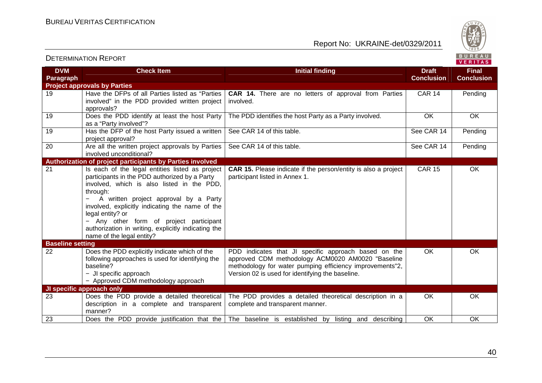DETERMINATION REPORT



| <b>DVM</b><br>Paragraph | <b>Check Item</b>                                                                                                                                                                                                                                                                                                                                                                                         | <b>Initial finding</b>                                                                                                                                                                                                    | <b>Draft</b><br><b>Conclusion</b> | <b>Final</b><br><b>Conclusion</b> |
|-------------------------|-----------------------------------------------------------------------------------------------------------------------------------------------------------------------------------------------------------------------------------------------------------------------------------------------------------------------------------------------------------------------------------------------------------|---------------------------------------------------------------------------------------------------------------------------------------------------------------------------------------------------------------------------|-----------------------------------|-----------------------------------|
|                         | <b>Project approvals by Parties</b>                                                                                                                                                                                                                                                                                                                                                                       |                                                                                                                                                                                                                           |                                   |                                   |
| 19                      | Have the DFPs of all Parties listed as "Parties<br>involved" in the PDD provided written project<br>approvals?                                                                                                                                                                                                                                                                                            | <b>CAR 14.</b> There are no letters of approval from Parties<br>involved.                                                                                                                                                 | <b>CAR 14</b>                     | Pending                           |
| 19                      | Does the PDD identify at least the host Party<br>as a "Party involved"?                                                                                                                                                                                                                                                                                                                                   | The PDD identifies the host Party as a Party involved.                                                                                                                                                                    | OK                                | OK.                               |
| 19                      | Has the DFP of the host Party issued a written<br>project approval?                                                                                                                                                                                                                                                                                                                                       | See CAR 14 of this table.                                                                                                                                                                                                 | See CAR 14                        | Pending                           |
| 20                      | Are all the written project approvals by Parties<br>involved unconditional?                                                                                                                                                                                                                                                                                                                               | See CAR 14 of this table.                                                                                                                                                                                                 | See CAR 14                        | Pending                           |
|                         | Authorization of project participants by Parties involved                                                                                                                                                                                                                                                                                                                                                 |                                                                                                                                                                                                                           |                                   |                                   |
| 21                      | Is each of the legal entities listed as project<br>participants in the PDD authorized by a Party<br>involved, which is also listed in the PDD,<br>through:<br>A written project approval by a Party<br>involved, explicitly indicating the name of the<br>legal entity? or<br>- Any other form of project participant<br>authorization in writing, explicitly indicating the<br>name of the legal entity? | CAR 15. Please indicate if the person/entity is also a project<br>participant listed in Annex 1.                                                                                                                          | <b>CAR 15</b>                     | OK                                |
| <b>Baseline setting</b> |                                                                                                                                                                                                                                                                                                                                                                                                           |                                                                                                                                                                                                                           |                                   |                                   |
| 22                      | Does the PDD explicitly indicate which of the<br>following approaches is used for identifying the<br>baseline?<br>- JI specific approach<br>- Approved CDM methodology approach                                                                                                                                                                                                                           | PDD indicates that JI specific approach based on the<br>approved CDM methodology ACM0020 AM0020 "Baseline<br>methodology for water pumping efficiency improvements"2,<br>Version 02 is used for identifying the baseline. | OK.                               | OK.                               |
|                         | JI specific approach only                                                                                                                                                                                                                                                                                                                                                                                 |                                                                                                                                                                                                                           |                                   |                                   |
| 23                      | Does the PDD provide a detailed theoretical<br>description in a complete and transparent<br>manner?                                                                                                                                                                                                                                                                                                       | The PDD provides a detailed theoretical description in a<br>complete and transparent manner.                                                                                                                              | 0K                                | OK.                               |
| $\overline{23}$         | Does the PDD provide justification that the                                                                                                                                                                                                                                                                                                                                                               | The baseline is established by listing and describing                                                                                                                                                                     | OK                                | OK.                               |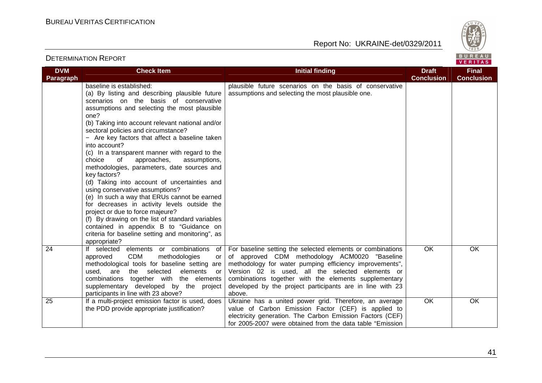

**Final Conclusion** 

**VERITAS** 

#### **DVM Paragraph Check Item Draft Check Item Initial finding Check Item Draft Conclusion**baseline is established: (a) By listing and describing plausible future scenarios on the basis of conservative assumptions and selecting the most plausible one? (b) Taking into account relevant national and/or sectoral policies and circumstance? − Are key factors that affect a baseline taken into account? (c) In a transparent manner with regard to the assumptions. choice of approaches, methodologies, parameters, date sources and key factors? (d) Taking into account of uncertainties and using conservative assumptions? (e) In such a way that ERUs cannot be earned for decreases in activity levels outside the project or due to force majeure? (f) By drawing on the list of standard variables contained in appendix B to "Guidance on criteria for baseline setting and monitoring", as appropriate? 24 If selected elements or combinations of plausible future scenarios on the basis of conservative assumptions and selecting the most plausible one.  $or$ approved CDM methodologies methodological tools for baseline setting are used, are the selected elements or combinations together with the elements supplementary developed by the project participants in line with 23 above? 25 | If a multi-project emission factor is used, does For baseline setting the selected elements or combinations of approved CDM methodology АCМ0020 "Baseline methodology for water pumping efficiency improvements", Version 02 is used, all the selected elements or combinations together with the elements supplementary developed by the project participants are in line with 23 above. Ukraine has a united power grid. Therefore, an average OK OK the PDD provide appropriate justification? value of Carbon Emission Factor (CEF) is applied to electricity generation. The Carbon Emission Factors (CEF) OK OK

for 2005-2007 were obtained from the data table "Emission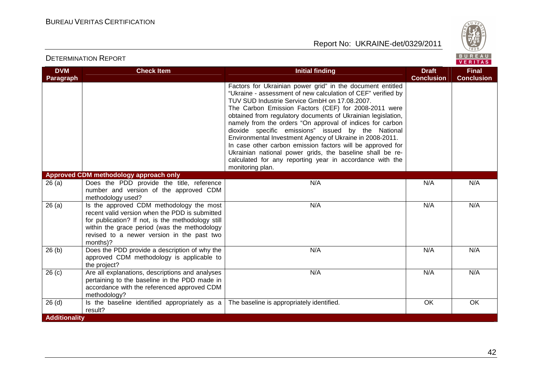

| <b>DVM</b>           | <b>Check Item</b>                                                                                                                                                                                                                                         | <b>Initial finding</b>                                                                                                                                                                                                                                                                                                                                                                                                                                                                                                                                                                                                                                                                        | <b>Draft</b>      | <b>Final</b>      |
|----------------------|-----------------------------------------------------------------------------------------------------------------------------------------------------------------------------------------------------------------------------------------------------------|-----------------------------------------------------------------------------------------------------------------------------------------------------------------------------------------------------------------------------------------------------------------------------------------------------------------------------------------------------------------------------------------------------------------------------------------------------------------------------------------------------------------------------------------------------------------------------------------------------------------------------------------------------------------------------------------------|-------------------|-------------------|
| <b>Paragraph</b>     |                                                                                                                                                                                                                                                           |                                                                                                                                                                                                                                                                                                                                                                                                                                                                                                                                                                                                                                                                                               | <b>Conclusion</b> | <b>Conclusion</b> |
|                      |                                                                                                                                                                                                                                                           | Factors for Ukrainian power grid" in the document entitled<br>"Ukraine - assessment of new calculation of CEF" verified by<br>TUV SUD Industrie Service GmbH on 17.08.2007.<br>The Carbon Emission Factors (CEF) for 2008-2011 were<br>obtained from regulatory documents of Ukrainian legislation,<br>namely from the orders "On approval of indices for carbon<br>dioxide specific emissions" issued by the National<br>Environmental Investment Agency of Ukraine in 2008-2011.<br>In case other carbon emission factors will be approved for<br>Ukrainian national power grids, the baseline shall be re-<br>calculated for any reporting year in accordance with the<br>monitoring plan. |                   |                   |
|                      | Approved CDM methodology approach only                                                                                                                                                                                                                    |                                                                                                                                                                                                                                                                                                                                                                                                                                                                                                                                                                                                                                                                                               |                   |                   |
| 26(a)                | Does the PDD provide the title, reference<br>number and version of the approved CDM<br>methodology used?                                                                                                                                                  | N/A                                                                                                                                                                                                                                                                                                                                                                                                                                                                                                                                                                                                                                                                                           | N/A               | N/A               |
| 26(a)                | Is the approved CDM methodology the most<br>recent valid version when the PDD is submitted<br>for publication? If not, is the methodology still<br>within the grace period (was the methodology<br>revised to a newer version in the past two<br>months)? | N/A                                                                                                                                                                                                                                                                                                                                                                                                                                                                                                                                                                                                                                                                                           | N/A               | N/A               |
| 26(b)                | Does the PDD provide a description of why the<br>approved CDM methodology is applicable to<br>the project?                                                                                                                                                | N/A                                                                                                                                                                                                                                                                                                                                                                                                                                                                                                                                                                                                                                                                                           | N/A               | N/A               |
| 26(c)                | Are all explanations, descriptions and analyses<br>pertaining to the baseline in the PDD made in<br>accordance with the referenced approved CDM<br>methodology?                                                                                           | N/A                                                                                                                                                                                                                                                                                                                                                                                                                                                                                                                                                                                                                                                                                           | N/A               | N/A               |
| $26$ (d)             | Is the baseline identified appropriately as a<br>result?                                                                                                                                                                                                  | The baseline is appropriately identified.                                                                                                                                                                                                                                                                                                                                                                                                                                                                                                                                                                                                                                                     | OK                | OK                |
| <b>Additionality</b> |                                                                                                                                                                                                                                                           |                                                                                                                                                                                                                                                                                                                                                                                                                                                                                                                                                                                                                                                                                               |                   |                   |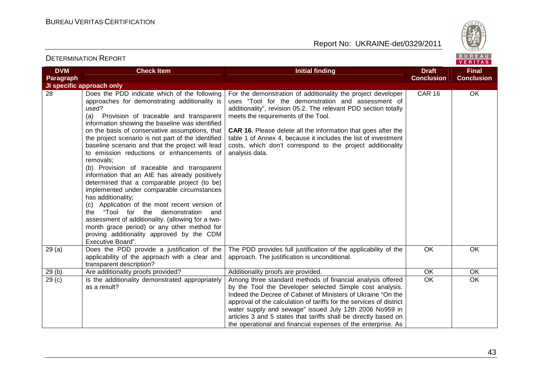

| <b>DVM</b>        | <b>Check Item</b>                                                                                                                                                                                                                                                                                                                                                                                                                                                                                                                                                                                                                                                                                                                                                                                                                                                                                                  | <b>Initial finding</b>                                                                                                                                                                                                                                                                                                                                                                                                                                      | <b>Draft</b>      | <b>Final</b>      |
|-------------------|--------------------------------------------------------------------------------------------------------------------------------------------------------------------------------------------------------------------------------------------------------------------------------------------------------------------------------------------------------------------------------------------------------------------------------------------------------------------------------------------------------------------------------------------------------------------------------------------------------------------------------------------------------------------------------------------------------------------------------------------------------------------------------------------------------------------------------------------------------------------------------------------------------------------|-------------------------------------------------------------------------------------------------------------------------------------------------------------------------------------------------------------------------------------------------------------------------------------------------------------------------------------------------------------------------------------------------------------------------------------------------------------|-------------------|-------------------|
| Paragraph         |                                                                                                                                                                                                                                                                                                                                                                                                                                                                                                                                                                                                                                                                                                                                                                                                                                                                                                                    |                                                                                                                                                                                                                                                                                                                                                                                                                                                             | <b>Conclusion</b> | <b>Conclusion</b> |
|                   | JI specific approach only                                                                                                                                                                                                                                                                                                                                                                                                                                                                                                                                                                                                                                                                                                                                                                                                                                                                                          |                                                                                                                                                                                                                                                                                                                                                                                                                                                             |                   |                   |
| 28                | Does the PDD indicate which of the following<br>approaches for demonstrating additionality is<br>used?<br>Provision of traceable and transparent<br>(a)<br>information showing the baseline was identified<br>on the basis of conservative assumptions, that<br>the project scenario is not part of the identified<br>baseline scenario and that the project will lead<br>to emission reductions or enhancements of<br>removals:<br>(b) Provision of traceable and transparent<br>information that an AIE has already positively<br>determined that a comparable project (to be)<br>implemented under comparable circumstances<br>has additionality;<br>(c) Application of the most recent version of<br>the "Tool for the demonstration and<br>assessment of additionality. (allowing for a two-<br>month grace period) or any other method for<br>proving additionality approved by the CDM<br>Executive Board". | For the demonstration of additionality the project developer<br>uses "Tool for the demonstration and assessment of<br>additionality", revision 05.2. The relevant PDD section totally<br>meets the requirements of the Tool.<br><b>CAR 16.</b> Please delete all the information that goes after the<br>table 1 of Annex 4, because it includes the list of investment<br>costs, which don't correspond to the project additionality<br>analysis data.      | <b>CAR 16</b>     | <b>OK</b>         |
| 29(a)             | Does the PDD provide a justification of the<br>applicability of the approach with a clear and<br>transparent description?                                                                                                                                                                                                                                                                                                                                                                                                                                                                                                                                                                                                                                                                                                                                                                                          | The PDD provides full justification of the applicability of the<br>approach. The justification is unconditional.                                                                                                                                                                                                                                                                                                                                            | OK                | OK                |
| 29(b)             | Are additionality proofs provided?                                                                                                                                                                                                                                                                                                                                                                                                                                                                                                                                                                                                                                                                                                                                                                                                                                                                                 | Additionality proofs are provided.                                                                                                                                                                                                                                                                                                                                                                                                                          | <b>OK</b>         | <b>OK</b>         |
| 29 <sub>(c)</sub> | Is the additionality demonstrated appropriately<br>as a result?                                                                                                                                                                                                                                                                                                                                                                                                                                                                                                                                                                                                                                                                                                                                                                                                                                                    | Among three standard methods of financial analysis offered<br>by the Tool the Developer selected Simple cost analysis.<br>Indeed the Decree of Cabinet of Ministers of Ukraine "On the<br>approval of the calculation of tariffs for the services of district<br>water supply and sewage" issued July 12th 2006 No959 in<br>articles 3 and 5 states that tariffs shall be directly based on<br>the operational and financial expenses of the enterprise. As | $\overline{OK}$   | $\overline{OK}$   |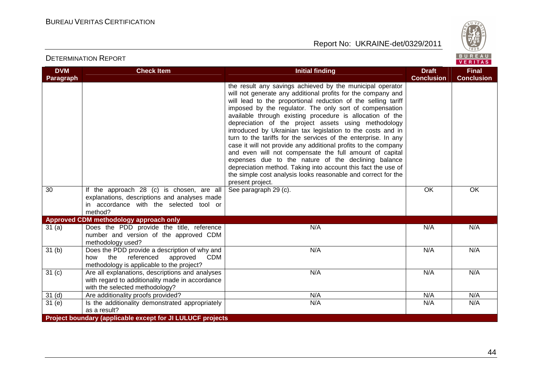



| <b>DVM</b>        | <b>Check Item</b>                                                                                                                                | <b>Initial finding</b>                                                                                                                                                                                                                                                                                                                                                                                                                                                                                                                                                                                                                                                                                                                                                                                                                                | <b>Draft</b>      | <b>Final</b>      |
|-------------------|--------------------------------------------------------------------------------------------------------------------------------------------------|-------------------------------------------------------------------------------------------------------------------------------------------------------------------------------------------------------------------------------------------------------------------------------------------------------------------------------------------------------------------------------------------------------------------------------------------------------------------------------------------------------------------------------------------------------------------------------------------------------------------------------------------------------------------------------------------------------------------------------------------------------------------------------------------------------------------------------------------------------|-------------------|-------------------|
| Paragraph         |                                                                                                                                                  |                                                                                                                                                                                                                                                                                                                                                                                                                                                                                                                                                                                                                                                                                                                                                                                                                                                       | <b>Conclusion</b> | <b>Conclusion</b> |
|                   |                                                                                                                                                  | the result any savings achieved by the municipal operator<br>will not generate any additional profits for the company and<br>will lead to the proportional reduction of the selling tariff<br>imposed by the regulator. The only sort of compensation<br>available through existing procedure is allocation of the<br>depreciation of the project assets using methodology<br>introduced by Ukrainian tax legislation to the costs and in<br>turn to the tariffs for the services of the enterprise. In any<br>case it will not provide any additional profits to the company<br>and even will not compensate the full amount of capital<br>expenses due to the nature of the declining balance<br>depreciation method. Taking into account this fact the use of<br>the simple cost analysis looks reasonable and correct for the<br>present project. |                   |                   |
| 30                | If the approach 28 (c) is chosen, are all<br>explanations, descriptions and analyses made<br>in accordance with the selected tool or<br>method?  | See paragraph 29 (c).                                                                                                                                                                                                                                                                                                                                                                                                                                                                                                                                                                                                                                                                                                                                                                                                                                 | OK                | OK                |
|                   | Approved CDM methodology approach only                                                                                                           |                                                                                                                                                                                                                                                                                                                                                                                                                                                                                                                                                                                                                                                                                                                                                                                                                                                       |                   |                   |
| 31(a)             | Does the PDD provide the title, reference<br>number and version of the approved CDM<br>methodology used?                                         | N/A                                                                                                                                                                                                                                                                                                                                                                                                                                                                                                                                                                                                                                                                                                                                                                                                                                                   | N/A               | N/A               |
| 31 <sub>(b)</sub> | Does the PDD provide a description of why and<br>the<br>referenced<br><b>CDM</b><br>how<br>approved<br>methodology is applicable to the project? | N/A                                                                                                                                                                                                                                                                                                                                                                                                                                                                                                                                                                                                                                                                                                                                                                                                                                                   | N/A               | N/A               |
| 31 <sub>(c)</sub> | Are all explanations, descriptions and analyses<br>with regard to additionality made in accordance<br>with the selected methodology?             | N/A                                                                                                                                                                                                                                                                                                                                                                                                                                                                                                                                                                                                                                                                                                                                                                                                                                                   | N/A               | N/A               |
| 31 <sub>(d)</sub> | Are additionality proofs provided?                                                                                                               | N/A                                                                                                                                                                                                                                                                                                                                                                                                                                                                                                                                                                                                                                                                                                                                                                                                                                                   | N/A               | N/A               |
| 31(e)             | Is the additionality demonstrated appropriately<br>as a result?                                                                                  | N/A                                                                                                                                                                                                                                                                                                                                                                                                                                                                                                                                                                                                                                                                                                                                                                                                                                                   | N/A               | N/A               |
|                   | Project boundary (applicable except for JI LULUCF projects                                                                                       |                                                                                                                                                                                                                                                                                                                                                                                                                                                                                                                                                                                                                                                                                                                                                                                                                                                       |                   |                   |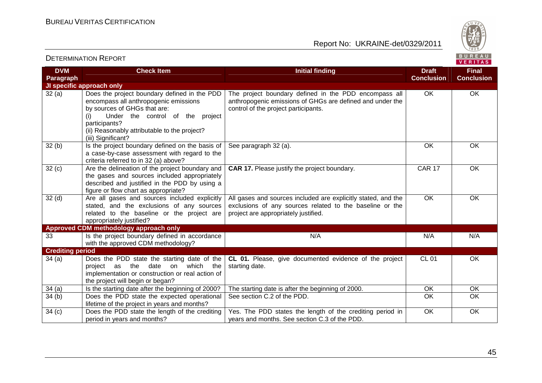DETERMINATION REPORT

Report No: UKRAINE-det/0329/2011



#### **VERITAS DVM Check Item Draft Check Item Initial finding Check Item Draft Final Paragraph Conclusion Conclusion JI specific approach only**  32 (a) Does the project boundary defined in the PDDThe project boundary defined in the PDD encompass all OK OK encompass all anthropogenic emissions anthropogenic emissions of GHGs are defined and under the by sources of GHGs that are: control of the project participants. (i) Under the control of the project participants? (ii) Reasonably attributable to the project? (iii) Significant? See paragraph 32 (a). Contact the contact of the contact of the contact of the contact of the contact of the contact of the contact of the contact of the contact of the contact of the contact of the contact of the contact  $32(b)$  Is the project boundary defined on the basis of a case-by-case assessment with regard to the criteria referred to in 32 (a) above? **CAR 17.** Please justify the project boundary. CAR 17 CAR 17 OK  $32 (c)$  Are the delineation of the project boundary and the gases and sources included appropriately described and justified in the PDD by using a figure or flow chart as appropriate? 32 (d) Are all gases and sources included explicitly All gases and sources included are explicitly stated, and the OK OK stated, and the exclusions of any sources exclusions of any sources related to the baseline or the project are appropriately justified. related to the baseline or the project are appropriately justified? **Approved CDM methodology approach only** 33 **Is the project boundary defined in accordance** N/A N/A N/A N/A with the approved CDM methodology? **Crediting period**  34 (a) Does the PDD state the starting date of the **CL 01.** Please, give documented evidence of the project CL 01 OK project as the date on which the starting date. implementation or construction or real action of the project will begin or began? 34 (a) Is the starting date after the beginning of 2000? The starting date is after the beginning of 2000. Nok CK CK CK OK 34 (b) Does the PDD state the expected operational See section C.2 of the PDD.  $\overline{O}$  OK OK lifetime of the project in years and months? Yes. The PDD states the length of the crediting period in OK OK  $34 (c)$  Does the PDD state the length of the crediting period in years and months? years and months. See section C.3 of the PDD.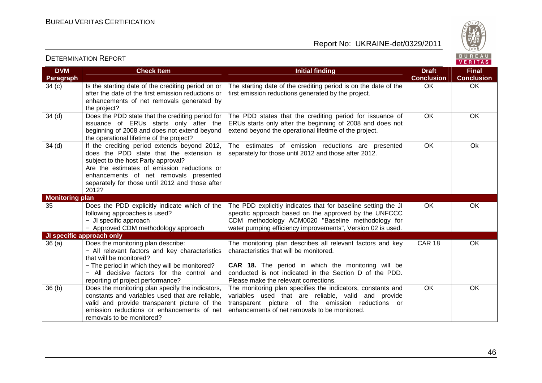

#### VERITAS **DVM Check Item Draft Check Item Initial finding Check Item Draft Final Paragraph Conclusion Conclusion**  $34$  (c) Is the starting date of the crediting period on or The starting date of the crediting period is on the date of the OK OK after the date of the first emission reductions or first emission reductions generated by the project. enhancements of net removals generated by the project? 34 (d) **Does the PDD state that the crediting period for** The PDD states that the crediting period for issuance of OK OK issuance of ERUs starts only after the ERUs starts only after the beginning of 2008 and does not beginning of 2008 and does not extend beyond extend beyond the operational lifetime of the project. the operational lifetime of the project? OK Ok 34 (d) | If the crediting period extends beyond 2012, The estimates of emission reductions are presented does the PDD state that the extension is separately for those until 2012 and those after 2012. subject to the host Party approval? Are the estimates of emission reductions or enhancements of net removals presented separately for those until 2012 and those after 2012? **Monitoring plan**  35 Does the PDD explicitly indicate which of the The PDD explicitly indicates that for baseline setting the JI OK OK following approaches is used? specific approach based on the approved by the UNFCCC − JI specific approach CDM methodology АCМ0020 "Baseline methodology for − Approved CDM methodology approach water pumping efficiency improvements", Version 02 is used. **JI specific approach only**  36 (a) Does the monitoring plan describe: The monitoring plan describes all relevant factors and key CAR 18 OK − All relevant factors and key characteristics characteristics that will be monitored. that will be monitored? − The period in which they will be monitored? **CAR 18.** The period in which the monitoring will be − All decisive factors for the control and conducted is not indicated in the Section D of the PDD. Please make the relevant corrections. reporting of project performance? 36 (b) Does the monitoring plan specify the indicators, The monitoring plan specifies the indicators, constants and OK OK constants and variables used that are reliable, variables used that are reliable, valid and provide valid and provide transparent picture of the transparent picture of the emission reductions or emission reductions or enhancements of net enhancements of net removals to be monitored. removals to be monitored?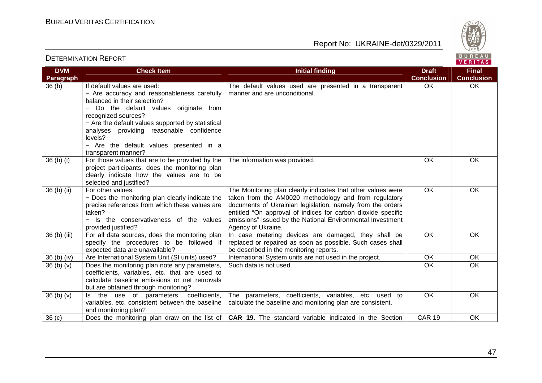

| <b>DVM</b><br>Paragraph          | <b>Check Item</b>                                                                                                                                                                                                                                                                                                                                       | <b>Initial finding</b>                                                                                                                                                                                                                                                                                                                  | <b>Draft</b><br><b>Conclusion</b> | <b>Final</b><br><b>Conclusion</b> |
|----------------------------------|---------------------------------------------------------------------------------------------------------------------------------------------------------------------------------------------------------------------------------------------------------------------------------------------------------------------------------------------------------|-----------------------------------------------------------------------------------------------------------------------------------------------------------------------------------------------------------------------------------------------------------------------------------------------------------------------------------------|-----------------------------------|-----------------------------------|
| 36 <sub>(b)</sub>                | If default values are used:<br>- Are accuracy and reasonableness carefully<br>balanced in their selection?<br>Do the default values originate from<br>recognized sources?<br>- Are the default values supported by statistical<br>analyses providing reasonable confidence<br>levels?<br>- Are the default values presented in a<br>transparent manner? | The default values used are presented in a transparent<br>manner and are unconditional.                                                                                                                                                                                                                                                 | OK                                | OK                                |
| 36 <sub>(b)</sub> <sub>(i)</sub> | For those values that are to be provided by the<br>project participants, does the monitoring plan<br>clearly indicate how the values are to be<br>selected and justified?                                                                                                                                                                               | The information was provided.                                                                                                                                                                                                                                                                                                           | OK                                | OK                                |
| 36 (b) (ii)                      | For other values,<br>- Does the monitoring plan clearly indicate the<br>precise references from which these values are<br>taken?<br>- Is the conservativeness of the values<br>provided justified?                                                                                                                                                      | The Monitoring plan clearly indicates that other values were<br>taken from the AM0020 methodology and from regulatory<br>documents of Ukrainian legislation, namely from the orders<br>entitled "On approval of indices for carbon dioxide specific<br>emissions" issued by the National Environmental Investment<br>Agency of Ukraine. | OK                                | OK                                |
| 36 (b) (iii)                     | For all data sources, does the monitoring plan<br>specify the procedures to be followed if<br>expected data are unavailable?                                                                                                                                                                                                                            | In case metering devices are damaged, they shall be<br>replaced or repaired as soon as possible. Such cases shall<br>be described in the monitoring reports.                                                                                                                                                                            | OK                                | OK                                |
| $36(b)$ (iv)                     | Are International System Unit (SI units) used?                                                                                                                                                                                                                                                                                                          | International System units are not used in the project.                                                                                                                                                                                                                                                                                 | OK                                | $\overline{OK}$                   |
| 36(b)(v)                         | Does the monitoring plan note any parameters,<br>coefficients, variables, etc. that are used to<br>calculate baseline emissions or net removals<br>but are obtained through monitoring?                                                                                                                                                                 | Such data is not used.                                                                                                                                                                                                                                                                                                                  | OK                                | OK                                |
| 36(b)(v)                         | Is the use of parameters, coefficients,<br>variables, etc. consistent between the baseline<br>and monitoring plan?                                                                                                                                                                                                                                      | The parameters, coefficients, variables, etc. used to<br>calculate the baseline and monitoring plan are consistent.                                                                                                                                                                                                                     | OK                                | OK                                |
| 36 <sub>(c)</sub>                |                                                                                                                                                                                                                                                                                                                                                         | Does the monitoring plan draw on the list of   CAR 19. The standard variable indicated in the Section                                                                                                                                                                                                                                   | <b>CAR 19</b>                     | OK                                |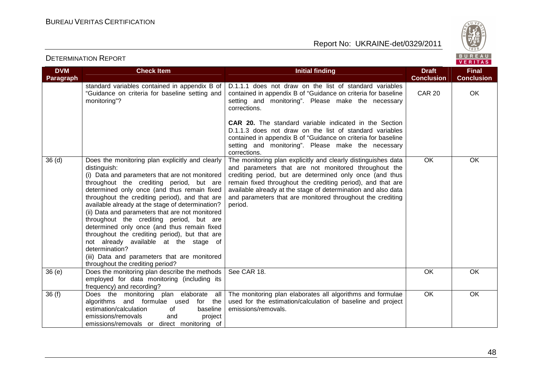



| <b>DVM</b><br>Paragraph | <b>Check Item</b>                                                                                                                                                                                                                                                                                                                                                                                                                                                                                                                                                                                                                                                 | <b>Initial finding</b>                                                                                                                                                                                                                                                                                                                                                                     | <b>Draft</b><br><b>Conclusion</b> | <b>Final</b><br><b>Conclusion</b> |
|-------------------------|-------------------------------------------------------------------------------------------------------------------------------------------------------------------------------------------------------------------------------------------------------------------------------------------------------------------------------------------------------------------------------------------------------------------------------------------------------------------------------------------------------------------------------------------------------------------------------------------------------------------------------------------------------------------|--------------------------------------------------------------------------------------------------------------------------------------------------------------------------------------------------------------------------------------------------------------------------------------------------------------------------------------------------------------------------------------------|-----------------------------------|-----------------------------------|
|                         | standard variables contained in appendix B of<br>"Guidance on criteria for baseline setting and<br>monitoring"?                                                                                                                                                                                                                                                                                                                                                                                                                                                                                                                                                   | D.1.1.1 does not draw on the list of standard variables<br>contained in appendix B of "Guidance on criteria for baseline<br>setting and monitoring". Please make the necessary<br>corrections.                                                                                                                                                                                             | <b>CAR 20</b>                     | <b>OK</b>                         |
|                         |                                                                                                                                                                                                                                                                                                                                                                                                                                                                                                                                                                                                                                                                   | <b>CAR 20.</b> The standard variable indicated in the Section<br>D.1.1.3 does not draw on the list of standard variables<br>contained in appendix B of "Guidance on criteria for baseline<br>setting and monitoring". Please make the necessary<br>corrections.                                                                                                                            |                                   |                                   |
| 36 <sub>(d)</sub>       | Does the monitoring plan explicitly and clearly<br>distinguish:<br>(i) Data and parameters that are not monitored<br>throughout the crediting period, but are<br>determined only once (and thus remain fixed<br>throughout the crediting period), and that are<br>available already at the stage of determination?<br>(ii) Data and parameters that are not monitored<br>throughout the crediting period, but are<br>determined only once (and thus remain fixed<br>throughout the crediting period), but that are<br>not already available at the stage of<br>determination?<br>(iii) Data and parameters that are monitored<br>throughout the crediting period? | The monitoring plan explicitly and clearly distinguishes data<br>and parameters that are not monitored throughout the<br>crediting period, but are determined only once (and thus<br>remain fixed throughout the crediting period), and that are<br>available already at the stage of determination and also data<br>and parameters that are monitored throughout the crediting<br>period. | <b>OK</b>                         | OK                                |
| 36(e)                   | Does the monitoring plan describe the methods<br>employed for data monitoring (including its<br>frequency) and recording?                                                                                                                                                                                                                                                                                                                                                                                                                                                                                                                                         | See CAR 18.                                                                                                                                                                                                                                                                                                                                                                                | OK                                | <b>OK</b>                         |
| 36(f)                   | Does the monitoring plan elaborate all<br>algorithms and formulae used<br>for the<br>estimation/calculation<br>baseline<br>of<br>emissions/removals<br>and<br>project<br>emissions/removals or direct monitoring of                                                                                                                                                                                                                                                                                                                                                                                                                                               | The monitoring plan elaborates all algorithms and formulae<br>used for the estimation/calculation of baseline and project<br>emissions/removals.                                                                                                                                                                                                                                           | $\overline{OK}$                   | OK                                |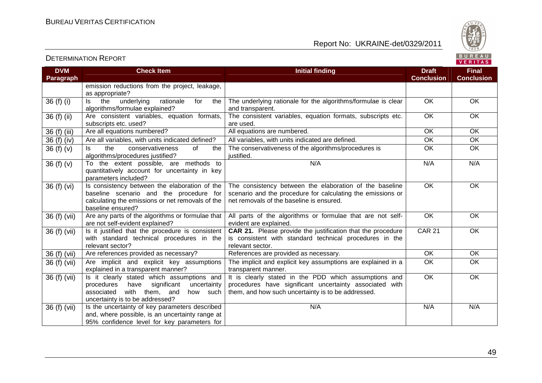



| <b>DVM</b><br><b>Paragraph</b> | <b>Check Item</b>                                                                                                                                                             | <b>Initial finding</b>                                                                                                                                                 | <b>Draft</b><br><b>Conclusion</b> | <b>Final</b><br><b>Conclusion</b> |
|--------------------------------|-------------------------------------------------------------------------------------------------------------------------------------------------------------------------------|------------------------------------------------------------------------------------------------------------------------------------------------------------------------|-----------------------------------|-----------------------------------|
|                                | emission reductions from the project, leakage,<br>as appropriate?                                                                                                             |                                                                                                                                                                        |                                   |                                   |
| 36 (f) (i)                     | rationale<br>the<br>underlying<br>for<br>ls<br>the<br>algorithms/formulae explained?                                                                                          | The underlying rationale for the algorithms/formulae is clear<br>and transparent.                                                                                      | OK                                | OK                                |
| 36 (f) (ii)                    | Are consistent variables, equation formats,<br>subscripts etc. used?                                                                                                          | The consistent variables, equation formats, subscripts etc.<br>are used.                                                                                               | $\overline{OK}$                   | OK                                |
| 36 (f) (iii)                   | Are all equations numbered?                                                                                                                                                   | All equations are numbered.                                                                                                                                            | OK                                | OK                                |
| 36 (f) (iv)                    | Are all variables, with units indicated defined?                                                                                                                              | All variables, with units indicated are defined.                                                                                                                       | OK                                | OK                                |
| 36 $(f)(v)$                    | the<br>conservativeness<br>of<br>Is<br>the<br>algorithms/procedures justified?                                                                                                | The conservativeness of the algorithms/procedures is<br>justified.                                                                                                     | OK                                | OK                                |
| 36 $(f)(v)$                    | To the extent possible, are methods to<br>quantitatively account for uncertainty in key<br>parameters included?                                                               | N/A                                                                                                                                                                    | N/A                               | N/A                               |
| 36 (f) (vi)                    | Is consistency between the elaboration of the<br>baseline scenario and the procedure for<br>calculating the emissions or net removals of the<br>baseline ensured?             | The consistency between the elaboration of the baseline<br>scenario and the procedure for calculating the emissions or<br>net removals of the baseline is ensured.     | OK                                | <b>OK</b>                         |
| 36(f)(vii)                     | Are any parts of the algorithms or formulae that<br>are not self-evident explained?                                                                                           | All parts of the algorithms or formulae that are not self-<br>evident are explained.                                                                                   | OK                                | OK                                |
| 36 (f) (vii)                   | Is it justified that the procedure is consistent<br>with standard technical procedures in the<br>relevant sector?                                                             | CAR 21. Please provide the justification that the procedure<br>is consistent with standard technical procedures in the<br>relevant sector.                             | <b>CAR 21</b>                     | <b>OK</b>                         |
| 36 (f) (vii)                   | Are references provided as necessary?                                                                                                                                         | References are provided as necessary.                                                                                                                                  | OK                                | <b>OK</b>                         |
| 36 (f) (vii)                   | Are implicit and explicit key assumptions<br>explained in a transparent manner?                                                                                               | The implicit and explicit key assumptions are explained in a<br>transparent manner.                                                                                    | OK                                | $\overline{OK}$                   |
| 36 (f) (vii)                   | Is it clearly stated which assumptions and<br>significant<br>uncertainty<br>procedures<br>have<br>associated<br>with them, and<br>how such<br>uncertainty is to be addressed? | It is clearly stated in the PDD which assumptions and<br>procedures have significant uncertainty associated with<br>them, and how such uncertainty is to be addressed. | OK                                | OK                                |
| 36 (f) (vii)                   | Is the uncertainty of key parameters described<br>and, where possible, is an uncertainty range at<br>95% confidence level for key parameters for                              | N/A                                                                                                                                                                    | N/A                               | N/A                               |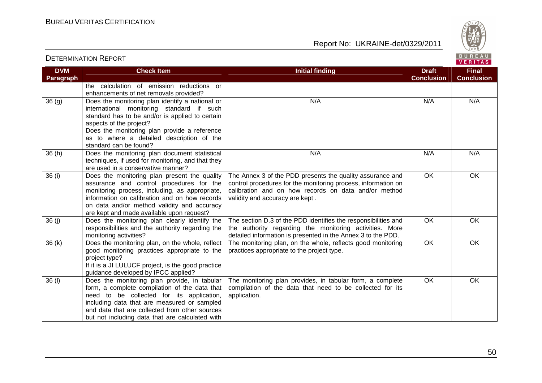

#### **VERITAS DVM Check Item Draft Check Item Initial finding Check Item Draft Final Paragraph Conclusion Conclusion** the calculation of emission reductions or enhancements of net removals provided?  $36 (g)$  Does the monitoring plan identify a national or N/A N/A N/A N/A international monitoring standard if such standard has to be and/or is applied to certain aspects of the project? Does the monitoring plan provide a reference as to where a detailed description of the standard can be found? 36 (h) Does the monitoring plan document statistical N/A N/A N/A N/A techniques, if used for monitoring, and that they are used in a conservative manner? The Annex 3 of the PDD presents the quality assurance and OK OK 36 (i) Does the monitoring plan present the quality control procedures for the monitoring process, information on assurance and control procedures for the monitoring process, including, as appropriate, calibration and on how records on data and/or method information on calibration and on how records validity and accuracy are kept . on data and/or method validity and accuracy are kept and made available upon request? 36 (j) Does the monitoring plan clearly identify the OK OK The section D.3 of the PDD identifies the responsibilities and responsibilities and the authority regarding the the authority regarding the monitoring activities. More monitoring activities? detailed information is presented in the Annex 3 to the PDD.  $36 (k)$  Does the monitoring plan, on the whole, reflect The monitoring plan, on the whole, reflects good monitoring OK OK practices appropriate to the project type. good monitoring practices appropriate to the project type? If it is a JI LULUCF project, is the good practice guidance developed by IPCC applied? 36 (l) Does the monitoring plan provide, in tabularThe monitoring plan provides, in tabular form, a complete OK OK compilation of the data that need to be collected for its form, a complete compilation of the data that need to be collected for its application, application. including data that are measured or sampled and data that are collected from other sources but not including data that are calculated with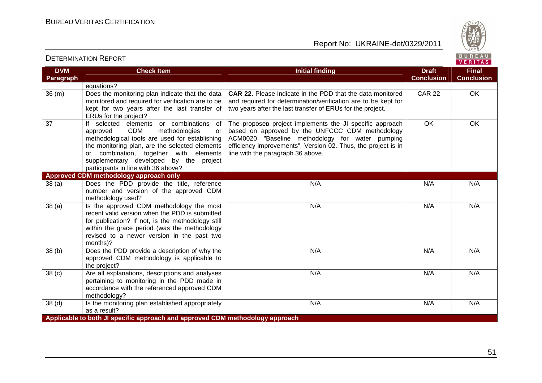

| <b>DVM</b>        | <b>Check Item</b>                                                                                                                                                                                                                                                                                                          | <b>Initial finding</b>                                                                                                                                                                                                                                               | <b>Draft</b>      | <b>Final</b>      |
|-------------------|----------------------------------------------------------------------------------------------------------------------------------------------------------------------------------------------------------------------------------------------------------------------------------------------------------------------------|----------------------------------------------------------------------------------------------------------------------------------------------------------------------------------------------------------------------------------------------------------------------|-------------------|-------------------|
| Paragraph         |                                                                                                                                                                                                                                                                                                                            |                                                                                                                                                                                                                                                                      | <b>Conclusion</b> | <b>Conclusion</b> |
|                   | equations?                                                                                                                                                                                                                                                                                                                 |                                                                                                                                                                                                                                                                      |                   |                   |
| 36(m)             | Does the monitoring plan indicate that the data<br>monitored and required for verification are to be<br>kept for two years after the last transfer of<br>ERUs for the project?                                                                                                                                             | <b>CAR 22.</b> Please indicate in the PDD that the data monitored<br>and required for determination/verification are to be kept for<br>two years after the last transfer of ERUs for the project.                                                                    | <b>CAR 22</b>     | OK                |
| 37                | If selected elements or combinations<br>of<br><b>CDM</b><br>approved<br>methodologies<br>or<br>methodological tools are used for establishing<br>the monitoring plan, are the selected elements<br>or combination, together with elements<br>supplementary developed by the project<br>participants in line with 36 above? | The proposes project implements the JI specific approach<br>based on approved by the UNFCCC CDM methodology<br>ACM0020 "Baseline methodology for water pumping<br>efficiency improvements", Version 02. Thus, the project is in<br>line with the paragraph 36 above. | <b>OK</b>         | OK                |
|                   | Approved CDM methodology approach only                                                                                                                                                                                                                                                                                     |                                                                                                                                                                                                                                                                      |                   |                   |
| 38(a)             | Does the PDD provide the title, reference<br>number and version of the approved CDM<br>methodology used?                                                                                                                                                                                                                   | N/A                                                                                                                                                                                                                                                                  | N/A               | N/A               |
| 38 <sub>(a)</sub> | Is the approved CDM methodology the most<br>recent valid version when the PDD is submitted<br>for publication? If not, is the methodology still<br>within the grace period (was the methodology<br>revised to a newer version in the past two<br>months)?                                                                  | N/A                                                                                                                                                                                                                                                                  | N/A               | N/A               |
| 38 (b)            | Does the PDD provide a description of why the<br>approved CDM methodology is applicable to<br>the project?                                                                                                                                                                                                                 | N/A                                                                                                                                                                                                                                                                  | N/A               | N/A               |
| 38 <sub>(c)</sub> | Are all explanations, descriptions and analyses<br>pertaining to monitoring in the PDD made in<br>accordance with the referenced approved CDM<br>methodology?                                                                                                                                                              | N/A                                                                                                                                                                                                                                                                  | N/A               | N/A               |
| 38 <sub>(d)</sub> | Is the monitoring plan established appropriately<br>as a result?                                                                                                                                                                                                                                                           | N/A                                                                                                                                                                                                                                                                  | N/A               | N/A               |
|                   | Applicable to both JI specific approach and approved CDM methodology approach                                                                                                                                                                                                                                              |                                                                                                                                                                                                                                                                      |                   |                   |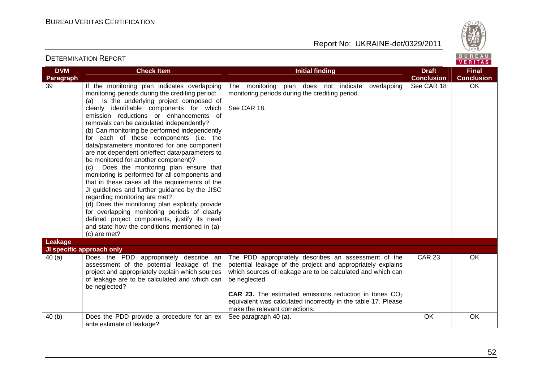

| <b>DVM</b> | <b>Check Item</b>                                                                                                                                                                                                                                                                                                                                                                                                                                                                                                                                                                                                                                                                                                                                                                                                                                                                                                                                                                    | <b>Initial finding</b>                                                                                                                                                                                                                                                                                                                                                    | <b>Draft</b>      | <b>Final</b>      |
|------------|--------------------------------------------------------------------------------------------------------------------------------------------------------------------------------------------------------------------------------------------------------------------------------------------------------------------------------------------------------------------------------------------------------------------------------------------------------------------------------------------------------------------------------------------------------------------------------------------------------------------------------------------------------------------------------------------------------------------------------------------------------------------------------------------------------------------------------------------------------------------------------------------------------------------------------------------------------------------------------------|---------------------------------------------------------------------------------------------------------------------------------------------------------------------------------------------------------------------------------------------------------------------------------------------------------------------------------------------------------------------------|-------------------|-------------------|
| Paragraph  |                                                                                                                                                                                                                                                                                                                                                                                                                                                                                                                                                                                                                                                                                                                                                                                                                                                                                                                                                                                      |                                                                                                                                                                                                                                                                                                                                                                           | <b>Conclusion</b> | <b>Conclusion</b> |
| 39         | If the monitoring plan indicates overlapping<br>monitoring periods during the crediting period:<br>Is the underlying project composed of<br>(a)<br>clearly identifiable components for which<br>emission reductions or enhancements of<br>removals can be calculated independently?<br>(b) Can monitoring be performed independently<br>for each of these components (i.e. the<br>data/parameters monitored for one component<br>are not dependent on/effect data/parameters to<br>be monitored for another component)?<br>Does the monitoring plan ensure that<br>(c)<br>monitoring is performed for all components and<br>that in these cases all the requirements of the<br>JI guidelines and further guidance by the JISC<br>regarding monitoring are met?<br>(d) Does the monitoring plan explicitly provide<br>for overlapping monitoring periods of clearly<br>defined project components, justify its need<br>and state how the conditions mentioned in (a)-<br>(c) are met? | The monitoring plan does not indicate<br>overlapping<br>monitoring periods during the crediting period.<br>See CAR 18.                                                                                                                                                                                                                                                    | See CAR 18        | OK                |
| Leakage    |                                                                                                                                                                                                                                                                                                                                                                                                                                                                                                                                                                                                                                                                                                                                                                                                                                                                                                                                                                                      |                                                                                                                                                                                                                                                                                                                                                                           |                   |                   |
| 40(a)      | JI specific approach only<br>Does the PDD appropriately describe an<br>assessment of the potential leakage of the<br>project and appropriately explain which sources<br>of leakage are to be calculated and which can<br>be neglected?                                                                                                                                                                                                                                                                                                                                                                                                                                                                                                                                                                                                                                                                                                                                               | The PDD appropriately describes an assessment of the<br>potential leakage of the project and appropriately explains<br>which sources of leakage are to be calculated and which can<br>be neglected.<br><b>CAR 23.</b> The estimated emissions reduction in tones $CO2$<br>equivalent was calculated incorrectly in the table 17. Please<br>make the relevant corrections. | <b>CAR 23</b>     | OK                |
| 40(b)      | Does the PDD provide a procedure for an ex<br>ante estimate of leakage?                                                                                                                                                                                                                                                                                                                                                                                                                                                                                                                                                                                                                                                                                                                                                                                                                                                                                                              | See paragraph 40 (a).                                                                                                                                                                                                                                                                                                                                                     | OK                | OK                |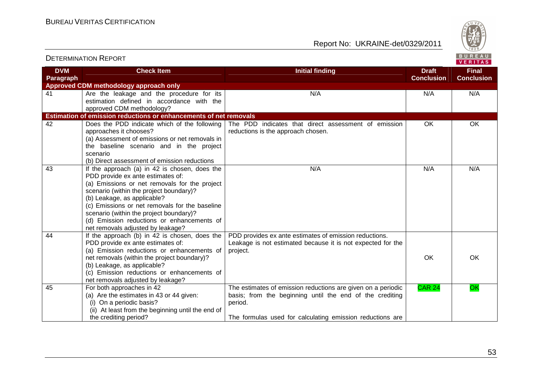

| <b>DVM</b><br>Paragraph | <b>Check Item</b>                                                                                                                                                                                                                                                                                                                                                                             | <b>Initial finding</b>                                                                                                                                                                           | <b>Draft</b><br><b>Conclusion</b> | <b>Final</b><br><b>Conclusion</b> |
|-------------------------|-----------------------------------------------------------------------------------------------------------------------------------------------------------------------------------------------------------------------------------------------------------------------------------------------------------------------------------------------------------------------------------------------|--------------------------------------------------------------------------------------------------------------------------------------------------------------------------------------------------|-----------------------------------|-----------------------------------|
|                         | Approved CDM methodology approach only                                                                                                                                                                                                                                                                                                                                                        |                                                                                                                                                                                                  |                                   |                                   |
| 41                      | Are the leakage and the procedure for its<br>estimation defined in accordance with the<br>approved CDM methodology?                                                                                                                                                                                                                                                                           | N/A                                                                                                                                                                                              | N/A                               | N/A                               |
|                         | Estimation of emission reductions or enhancements of net removals                                                                                                                                                                                                                                                                                                                             |                                                                                                                                                                                                  |                                   |                                   |
| 42                      | Does the PDD indicate which of the following<br>approaches it chooses?<br>(a) Assessment of emissions or net removals in<br>the baseline scenario and in the project<br>scenario<br>(b) Direct assessment of emission reductions                                                                                                                                                              | The PDD indicates that direct assessment of emission<br>reductions is the approach chosen.                                                                                                       | <b>OK</b>                         | OK                                |
| 43                      | If the approach (a) in 42 is chosen, does the<br>PDD provide ex ante estimates of:<br>(a) Emissions or net removals for the project<br>scenario (within the project boundary)?<br>(b) Leakage, as applicable?<br>(c) Emissions or net removals for the baseline<br>scenario (within the project boundary)?<br>(d) Emission reductions or enhancements of<br>net removals adjusted by leakage? | N/A                                                                                                                                                                                              | N/A                               | N/A                               |
| 44                      | If the approach (b) in 42 is chosen, does the<br>PDD provide ex ante estimates of:<br>(a) Emission reductions or enhancements of<br>net removals (within the project boundary)?<br>(b) Leakage, as applicable?<br>(c) Emission reductions or enhancements of<br>net removals adjusted by leakage?                                                                                             | PDD provides ex ante estimates of emission reductions.<br>Leakage is not estimated because it is not expected for the<br>project.                                                                | OK                                | <b>OK</b>                         |
| 45                      | For both approaches in 42<br>(a) Are the estimates in 43 or 44 given:<br>(i) On a periodic basis?<br>(ii) At least from the beginning until the end of<br>the crediting period?                                                                                                                                                                                                               | The estimates of emission reductions are given on a periodic<br>basis; from the beginning until the end of the crediting<br>period.<br>The formulas used for calculating emission reductions are | <b>CAR 24</b>                     | OK                                |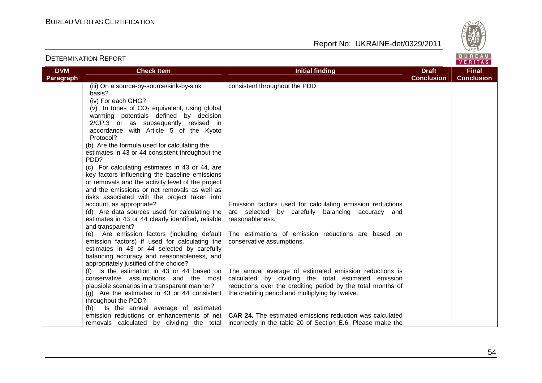

|                         |                                                                                                                                                                                                                                                                                                                                                                                                                                                                                                                                         |                                                                                                                                                                                                                                 |                                   | <u>, , , , , , , , ,</u>          |
|-------------------------|-----------------------------------------------------------------------------------------------------------------------------------------------------------------------------------------------------------------------------------------------------------------------------------------------------------------------------------------------------------------------------------------------------------------------------------------------------------------------------------------------------------------------------------------|---------------------------------------------------------------------------------------------------------------------------------------------------------------------------------------------------------------------------------|-----------------------------------|-----------------------------------|
| <b>DVM</b><br>Paragraph | <b>Check Item</b>                                                                                                                                                                                                                                                                                                                                                                                                                                                                                                                       | <b>Initial finding</b>                                                                                                                                                                                                          | <b>Draft</b><br><b>Conclusion</b> | <b>Final</b><br><b>Conclusion</b> |
|                         | (iii) On a source-by-source/sink-by-sink<br>basis?<br>(iv) For each GHG?<br>(v) In tones of $CO2$ equivalent, using global<br>warming potentials defined by decision<br>2/CP.3 or as subsequently revised in<br>accordance with Article 5 of the Kyoto<br>Protocol?<br>(b) Are the formula used for calculating the<br>estimates in 43 or 44 consistent throughout the<br>PDD?<br>(c) For calculating estimates in 43 or 44, are<br>key factors influencing the baseline emissions<br>or removals and the activity level of the project | consistent throughout the PDD.                                                                                                                                                                                                  |                                   |                                   |
|                         | and the emissions or net removals as well as<br>risks associated with the project taken into<br>account, as appropriate?<br>(d) Are data sources used for calculating the<br>estimates in 43 or 44 clearly identified, reliable<br>and transparent?                                                                                                                                                                                                                                                                                     | Emission factors used for calculating emission reductions<br>are selected by carefully balancing accuracy and<br>reasonableness.                                                                                                |                                   |                                   |
|                         | (e) Are emission factors (including default<br>emission factors) if used for calculating the<br>estimates in 43 or 44 selected by carefully<br>balancing accuracy and reasonableness, and<br>appropriately justified of the choice?                                                                                                                                                                                                                                                                                                     | The estimations of emission reductions are based on<br>conservative assumptions.                                                                                                                                                |                                   |                                   |
|                         | (f) Is the estimation in 43 or 44 based on<br>conservative assumptions and the most<br>plausible scenarios in a transparent manner?<br>$(g)$ Are the estimates in 43 or 44 consistent<br>throughout the PDD?<br>(h) Is the annual average of estimated                                                                                                                                                                                                                                                                                  | The annual average of estimated emission reductions is<br>calculated by dividing the total estimated emission<br>reductions over the crediting period by the total months of<br>the crediting period and multiplying by twelve. |                                   |                                   |
|                         | emission reductions or enhancements of net<br>removals calculated by dividing the total                                                                                                                                                                                                                                                                                                                                                                                                                                                 | <b>CAR 24.</b> The estimated emissions reduction was calculated<br>incorrectly in the table 20 of Section E.6. Please make the                                                                                                  |                                   |                                   |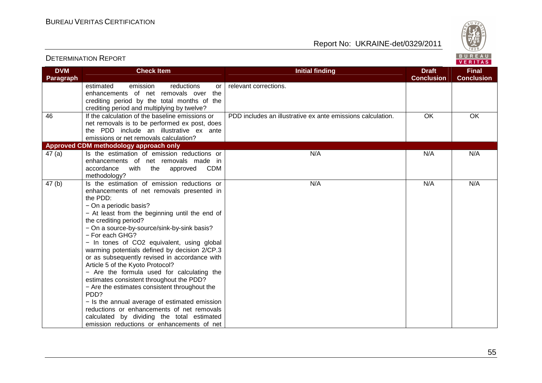

**VERITAS** 

#### **DVM Paragraph Check Item Draft Check Item Initial finding Check Item Draft ConclusionFinal Conclusion** estimated emission reductions or enhancements of net removals over the crediting period by the total months of the crediting period and multiplying by twelve? 46 If the calculation of the baseline emissions or relevant corrections. net removals is to be performed ex post, does the PDD include an illustrative ex ante emissions or net removals calculation? PDD includes an illustrative ex ante emissions calculation. OK OK **Approved CDM methodology approach only**  $47$  (a)  $\vert$  Is the estimation of emission reductions or enhancements of net removals made in accordance with the approved CDM methodology?  $47$  (b)  $\vert$  Is the estimation of emission reductions or N/A N/A N/A N/A enhancements of net removals presented in the PDD: − On a periodic basis? − At least from the beginning until the end of the crediting period? − On a source-by-source/sink-by-sink basis? − For each GHG? − In tones of CO2 equivalent, using global warming potentials defined by decision 2/CP.3 or as subsequently revised in accordance with Article 5 of the Kyoto Protocol? − Are the formula used for calculating the estimates consistent throughout the PDD? − Are the estimates consistent throughout the PD<sub>D?</sub> − Is the annual average of estimated emission reductions or enhancements of net removals calculated by dividing the total estimated emission reductions or enhancements of net N/A N/A N/A N/A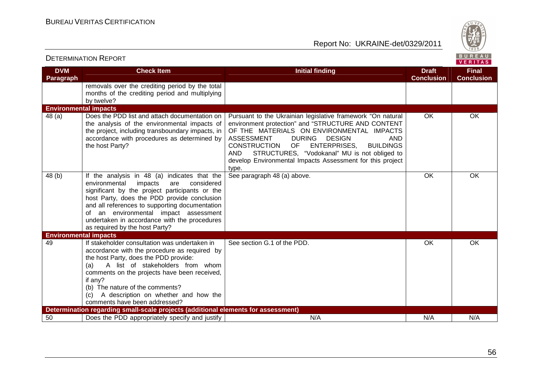

| <b>DETERMINATION REPORT</b>  |                                                                                                                                                                                                                                                                                                                                                                             |                                                                                                                                                                                                                                                                                                                                                                                                                                       | BUREAU<br>VERITAS                 |                                   |
|------------------------------|-----------------------------------------------------------------------------------------------------------------------------------------------------------------------------------------------------------------------------------------------------------------------------------------------------------------------------------------------------------------------------|---------------------------------------------------------------------------------------------------------------------------------------------------------------------------------------------------------------------------------------------------------------------------------------------------------------------------------------------------------------------------------------------------------------------------------------|-----------------------------------|-----------------------------------|
| <b>DVM</b><br>Paragraph      | <b>Check Item</b>                                                                                                                                                                                                                                                                                                                                                           | <b>Initial finding</b>                                                                                                                                                                                                                                                                                                                                                                                                                | <b>Draft</b><br><b>Conclusion</b> | <b>Final</b><br><b>Conclusion</b> |
|                              | removals over the crediting period by the total<br>months of the crediting period and multiplying<br>by twelve?                                                                                                                                                                                                                                                             |                                                                                                                                                                                                                                                                                                                                                                                                                                       |                                   |                                   |
| <b>Environmental impacts</b> |                                                                                                                                                                                                                                                                                                                                                                             |                                                                                                                                                                                                                                                                                                                                                                                                                                       |                                   |                                   |
| 48(a)                        | Does the PDD list and attach documentation on<br>the analysis of the environmental impacts of<br>the project, including transboundary impacts, in<br>accordance with procedures as determined by<br>the host Party?                                                                                                                                                         | Pursuant to the Ukrainian legislative framework "On natural<br>environment protection" and "STRUCTURE AND CONTENT<br>OF THE MATERIALS ON ENVIRONMENTAL IMPACTS<br><b>ASSESSMENT</b><br><b>DURING</b><br><b>DESIGN</b><br><b>AND</b><br>CONSTRUCTION OF<br><b>ENTERPRISES,</b><br><b>BUILDINGS</b><br><b>AND</b><br>STRUCTURES, "Vodokanal" MU is not obliged to<br>develop Environmental Impacts Assessment for this project<br>type. | OK                                | OK                                |
| 48(b)                        | If the analysis in 48 (a) indicates that the<br>environmental<br>impacts<br>considered<br>are<br>significant by the project participants or the<br>host Party, does the PDD provide conclusion<br>and all references to supporting documentation<br>of an environmental impact assessment<br>undertaken in accordance with the procedures<br>as required by the host Party? | See paragraph 48 (a) above.                                                                                                                                                                                                                                                                                                                                                                                                           | OK                                | OK                                |
| <b>Environmental impacts</b> |                                                                                                                                                                                                                                                                                                                                                                             |                                                                                                                                                                                                                                                                                                                                                                                                                                       |                                   |                                   |
| 49                           | If stakeholder consultation was undertaken in<br>accordance with the procedure as required by<br>the host Party, does the PDD provide:<br>A list of stakeholders from whom<br>(a)<br>comments on the projects have been received,<br>if any?<br>(b) The nature of the comments?<br>A description on whether and how the<br>(C)<br>comments have been addressed?             | See section G.1 of the PDD.                                                                                                                                                                                                                                                                                                                                                                                                           | OK                                | OK                                |
|                              | Determination regarding small-scale projects (additional elements for assessment)                                                                                                                                                                                                                                                                                           |                                                                                                                                                                                                                                                                                                                                                                                                                                       |                                   |                                   |
| 50                           | Does the PDD appropriately specify and justify                                                                                                                                                                                                                                                                                                                              | N/A                                                                                                                                                                                                                                                                                                                                                                                                                                   | N/A                               | N/A                               |

56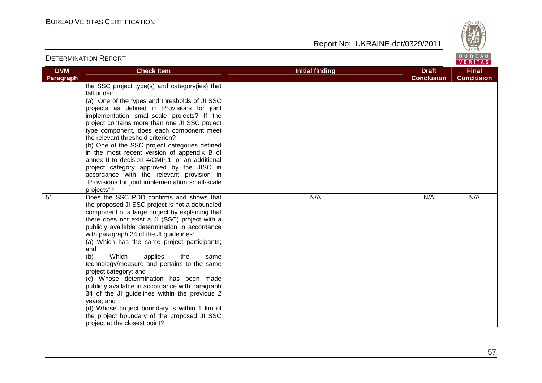



#### DETERMINATION REPORT**VERITAS DVM Check Item Draft Check Item Initial finding Check Item Draft Final Paragraph Conclusion Conclusion** the SSC project type(s) and category(ies) that fall under: (a) One of the types and thresholds of JI SSC projects as defined in Provisions for joint implementation small-scale projects? If the project contains more than one JI SSC project type component, does each component meet the relevant threshold criterion? (b) One of the SSC project categories defined in the most recent version of appendix B of annex II to decision 4/CMP.1, or an additional project category approved by the JISC in accordance with the relevant provision in "Provisions for joint implementation small-scale projects"? 51 Does the SSC PDD confirms and shows that N/A N/A N/A N/A the proposed JI SSC project is not a debundled component of a large project by explaining that there does not exist a JI (SSC) project with a publicly available determination in accordance with paragraph 34 of the JI guidelines: (a) Which has the same project participants; and (b) Which applies the same technology/measure and pertains to the same project category; and (c) Whose determination has been made publicly available in accordance with paragraph 34 of the JI guidelines within the previous 2 years; and (d) Whose project boundary is within 1 km of the project boundary of the proposed JI SSC project at the closest point?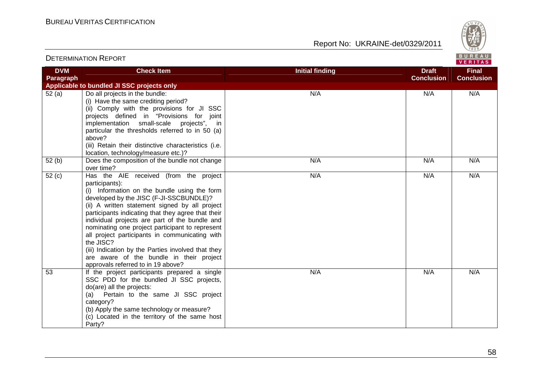

| <b>DVM</b><br>Paragraph | <b>Check Item</b>                                                                                                                                                                                                                                                                                                                                                                                                                                                                                                                                                       | <b>Initial finding</b><br><b>Draft</b><br><b>Conclusion</b> | <b>Final</b><br><b>Conclusion</b> |  |
|-------------------------|-------------------------------------------------------------------------------------------------------------------------------------------------------------------------------------------------------------------------------------------------------------------------------------------------------------------------------------------------------------------------------------------------------------------------------------------------------------------------------------------------------------------------------------------------------------------------|-------------------------------------------------------------|-----------------------------------|--|
|                         | Applicable to bundled JI SSC projects only                                                                                                                                                                                                                                                                                                                                                                                                                                                                                                                              |                                                             |                                   |  |
| 52(a)                   | Do all projects in the bundle:<br>(i) Have the same crediting period?<br>(ii) Comply with the provisions for JI SSC<br>projects defined in "Provisions for joint<br>implementation small-scale projects", in<br>particular the thresholds referred to in 50 (a)<br>above?<br>(iii) Retain their distinctive characteristics (i.e.<br>location, technology/measure etc.)?                                                                                                                                                                                                | N/A<br>N/A                                                  | N/A                               |  |
| $\overline{5}2$ (b)     | Does the composition of the bundle not change<br>over time?                                                                                                                                                                                                                                                                                                                                                                                                                                                                                                             | N/A<br>N/A                                                  | N/A                               |  |
| 52(c)                   | Has the AIE received (from the project<br>participants):<br>(i) Information on the bundle using the form<br>developed by the JISC (F-JI-SSCBUNDLE)?<br>(ii) A written statement signed by all project<br>participants indicating that they agree that their<br>individual projects are part of the bundle and<br>nominating one project participant to represent<br>all project participants in communicating with<br>the JISC?<br>(iii) Indication by the Parties involved that they<br>are aware of the bundle in their project<br>approvals referred to in 19 above? | N/A<br>N/A                                                  | N/A                               |  |
| 53                      | If the project participants prepared a single<br>SSC PDD for the bundled JI SSC projects,<br>do(are) all the projects:<br>(a) Pertain to the same JI SSC project<br>category?<br>(b) Apply the same technology or measure?<br>(c) Located in the territory of the same host<br>Party?                                                                                                                                                                                                                                                                                   | N/A<br>N/A                                                  | N/A                               |  |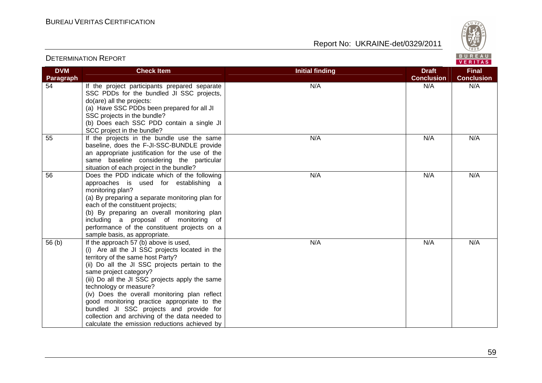

#### VERITAS **DVM Check Item Draft Check Item Initial finding Check Item Draft Final Paragraph Conclusion Conclusion** 54 If the project participants prepared separate N/A N/A N/A N/A SSC PDDs for the bundled JI SSC projects, do(are) all the projects: (a) Have SSC PDDs been prepared for all JI SSC projects in the bundle? (b) Does each SSC PDD contain a single JI SCC project in the bundle? 55 | If the projects in the bundle use the same N/A N/A N/A N/A baseline, does the F-JI-SSC-BUNDLE provide an appropriate justification for the use of the same baseline considering the particular situation of each project in the bundle? 56 Does the PDD indicate which of the following N/A N/A N/A N/A approaches is used for establishing a monitoring plan? (a) By preparing a separate monitoring plan for each of the constituent projects; (b) By preparing an overall monitoring plan including a proposal of monitoring of performance of the constituent projects on a sample basis, as appropriate. 56 (b)  $\vert$  If the approach 57 (b) above is used, N/A N/A N/A N/A (i) Are all the JI SSC projects located in the territory of the same host Party? (ii) Do all the JI SSC projects pertain to the same project category? (iii) Do all the JI SSC projects apply the same technology or measure? (iv) Does the overall monitoring plan reflect good monitoring practice appropriate to the bundled JI SSC projects and provide for collection and archiving of the data needed to calculate the emission reductions achieved by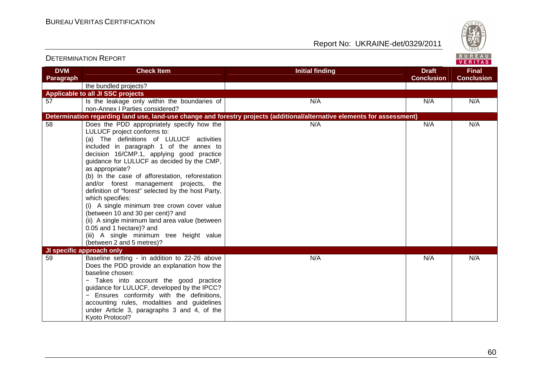

| <b>DVM</b> | <b>Check Item</b>                                                      | <b>Initial finding</b>                                                                                                   | <b>Draft</b>      | <b>Final</b>      |
|------------|------------------------------------------------------------------------|--------------------------------------------------------------------------------------------------------------------------|-------------------|-------------------|
| Paragraph  |                                                                        |                                                                                                                          | <b>Conclusion</b> | <b>Conclusion</b> |
|            | the bundled projects?                                                  |                                                                                                                          |                   |                   |
|            | Applicable to all JI SSC projects                                      |                                                                                                                          |                   |                   |
| 57         | Is the leakage only within the boundaries of                           | N/A                                                                                                                      | N/A               | N/A               |
|            | non-Annex I Parties considered?                                        |                                                                                                                          |                   |                   |
|            |                                                                        | Determination regarding land use, land-use change and forestry projects (additional/alternative elements for assessment) |                   |                   |
| 58         | Does the PDD appropriately specify how the                             | N/A                                                                                                                      | N/A               | N/A               |
|            | LULUCF project conforms to:                                            |                                                                                                                          |                   |                   |
|            | (a) The definitions of LULUCF activities                               |                                                                                                                          |                   |                   |
|            | included in paragraph 1 of the annex to                                |                                                                                                                          |                   |                   |
|            | decision 16/CMP.1, applying good practice                              |                                                                                                                          |                   |                   |
|            | guidance for LULUCF as decided by the CMP,                             |                                                                                                                          |                   |                   |
|            | as appropriate?                                                        |                                                                                                                          |                   |                   |
|            | (b) In the case of afforestation, reforestation                        |                                                                                                                          |                   |                   |
|            | and/or forest management projects, the                                 |                                                                                                                          |                   |                   |
|            | definition of "forest" selected by the host Party,<br>which specifies: |                                                                                                                          |                   |                   |
|            | (i) A single minimum tree crown cover value                            |                                                                                                                          |                   |                   |
|            | (between 10 and 30 per cent)? and                                      |                                                                                                                          |                   |                   |
|            | (ii) A single minimum land area value (between                         |                                                                                                                          |                   |                   |
|            | 0.05 and 1 hectare)? and                                               |                                                                                                                          |                   |                   |
|            | (iii) A single minimum tree height value                               |                                                                                                                          |                   |                   |
|            | (between 2 and 5 metres)?                                              |                                                                                                                          |                   |                   |
|            | JI specific approach only                                              |                                                                                                                          |                   |                   |
| 59         | Baseline setting - in addition to 22-26 above                          | N/A                                                                                                                      | N/A               | N/A               |
|            | Does the PDD provide an explanation how the                            |                                                                                                                          |                   |                   |
|            | baseline chosen:                                                       |                                                                                                                          |                   |                   |
|            | - Takes into account the good practice                                 |                                                                                                                          |                   |                   |
|            | guidance for LULUCF, developed by the IPCC?                            |                                                                                                                          |                   |                   |
|            | - Ensures conformity with the definitions,                             |                                                                                                                          |                   |                   |
|            | accounting rules, modalities and guidelines                            |                                                                                                                          |                   |                   |
|            | under Article 3, paragraphs 3 and 4, of the                            |                                                                                                                          |                   |                   |
|            | Kyoto Protocol?                                                        |                                                                                                                          |                   |                   |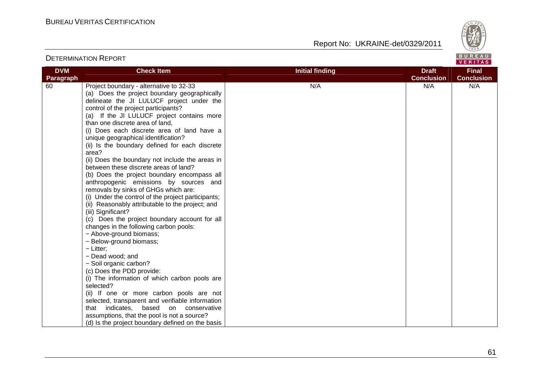

| <b>DVM</b> | <b>Check Item</b>                                                                                                                                                                                                                                                                                                                                                                                                                                                                                                                                                                                                                                                                                                                                                                                                                                                                                                                                                                                                                                                      | <b>Initial finding</b> | <b>Draft</b>             | <b>Final</b>      |
|------------|------------------------------------------------------------------------------------------------------------------------------------------------------------------------------------------------------------------------------------------------------------------------------------------------------------------------------------------------------------------------------------------------------------------------------------------------------------------------------------------------------------------------------------------------------------------------------------------------------------------------------------------------------------------------------------------------------------------------------------------------------------------------------------------------------------------------------------------------------------------------------------------------------------------------------------------------------------------------------------------------------------------------------------------------------------------------|------------------------|--------------------------|-------------------|
| Paragraph  |                                                                                                                                                                                                                                                                                                                                                                                                                                                                                                                                                                                                                                                                                                                                                                                                                                                                                                                                                                                                                                                                        |                        |                          | <b>Conclusion</b> |
| 60         | Project boundary - alternative to 32-33<br>(a) Does the project boundary geographically<br>delineate the JI LULUCF project under the<br>control of the project participants?<br>(a) If the JI LULUCF project contains more<br>than one discrete area of land,<br>(i) Does each discrete area of land have a<br>unique geographical identification?<br>(ii) Is the boundary defined for each discrete<br>area?<br>(ii) Does the boundary not include the areas in<br>between these discrete areas of land?<br>(b) Does the project boundary encompass all<br>anthropogenic emissions by sources and<br>removals by sinks of GHGs which are:<br>(i) Under the control of the project participants;<br>(ii) Reasonably attributable to the project; and<br>(iii) Significant?<br>(c) Does the project boundary account for all<br>changes in the following carbon pools:<br>- Above-ground biomass;<br>- Below-ground biomass;<br>$-$ Litter;<br>- Dead wood; and<br>- Soil organic carbon?<br>(c) Does the PDD provide:<br>(i) The information of which carbon pools are | N/A                    | <b>Conclusion</b><br>N/A | N/A               |
|            | selected?                                                                                                                                                                                                                                                                                                                                                                                                                                                                                                                                                                                                                                                                                                                                                                                                                                                                                                                                                                                                                                                              |                        |                          |                   |
|            | (ii) If one or more carbon pools are not                                                                                                                                                                                                                                                                                                                                                                                                                                                                                                                                                                                                                                                                                                                                                                                                                                                                                                                                                                                                                               |                        |                          |                   |
|            | selected, transparent and verifiable information<br>that indicates,<br>based on conservative                                                                                                                                                                                                                                                                                                                                                                                                                                                                                                                                                                                                                                                                                                                                                                                                                                                                                                                                                                           |                        |                          |                   |
|            | assumptions, that the pool is not a source?                                                                                                                                                                                                                                                                                                                                                                                                                                                                                                                                                                                                                                                                                                                                                                                                                                                                                                                                                                                                                            |                        |                          |                   |
|            |                                                                                                                                                                                                                                                                                                                                                                                                                                                                                                                                                                                                                                                                                                                                                                                                                                                                                                                                                                                                                                                                        |                        |                          |                   |
|            | (d) Is the project boundary defined on the basis                                                                                                                                                                                                                                                                                                                                                                                                                                                                                                                                                                                                                                                                                                                                                                                                                                                                                                                                                                                                                       |                        |                          |                   |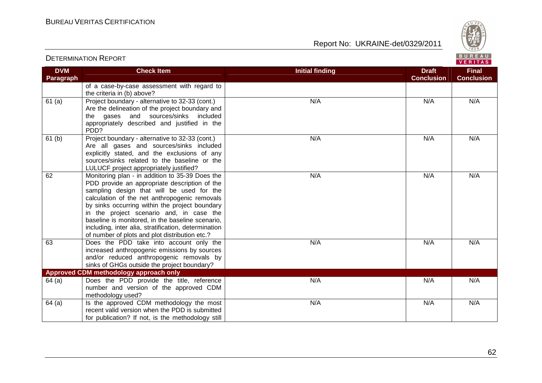

VERITAS

#### **DVM Paragraph Check Item Draft Check Item Initial finding Check Item Draft ConclusionFinal Conclusion** of a case-by-case assessment with regard to the criteria in (b) above? 61 (a) Project boundary - alternative to 32-33 (cont.) Are the delineation of the project boundary and the gases and sources/sinks included appropriately described and justified in the PDD? 61 (b) Project boundary - alternative to 32-33 (cont.) N/A N/A N/A N/A Are all gases and sources/sinks included explicitly stated, and the exclusions of any sources/sinks related to the baseline or the LULUCF project appropriately justified? 62 Monitoring plan - in addition to 35-39 Does the N/A N/A N/A N/A PDD provide an appropriate description of the sampling design that will be used for the calculation of the net anthropogenic removals by sinks occurring within the project boundary in the project scenario and, in case the baseline is monitored, in the baseline scenario, including, inter alia, stratification, determination of number of plots and plot distribution etc.? 63 Does the PDD take into account only the N/A N/A N/A N/A increased anthropogenic emissions by sources and/or reduced anthropogenic removals by sinks of GHGs outside the project boundary? N/A N/A N/A N/A **Approved CDM methodology approach only**  64 (a) Does the PDD provide the title, reference number and version of the approved CDM methodology used?  $64$  (a)  $\vert$  Is the approved CDM methodology the most N/A N/A N/A N/A recent valid version when the PDD is submitted for publication? If not, is the methodology still N/A N/A N/A N/A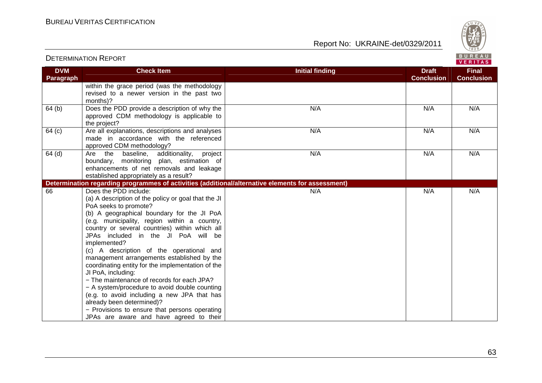

| <b>DVM</b> | <b>Check Item</b>                                                                                                                                                                                                                                                                                                                                                                                                                                                                                                                                                                                                                                                                                                                                        | <b>Initial finding</b> | <b>Draft</b>      | <b>Final</b>      |
|------------|----------------------------------------------------------------------------------------------------------------------------------------------------------------------------------------------------------------------------------------------------------------------------------------------------------------------------------------------------------------------------------------------------------------------------------------------------------------------------------------------------------------------------------------------------------------------------------------------------------------------------------------------------------------------------------------------------------------------------------------------------------|------------------------|-------------------|-------------------|
| Paragraph  |                                                                                                                                                                                                                                                                                                                                                                                                                                                                                                                                                                                                                                                                                                                                                          |                        | <b>Conclusion</b> | <b>Conclusion</b> |
|            | within the grace period (was the methodology<br>revised to a newer version in the past two<br>months)?                                                                                                                                                                                                                                                                                                                                                                                                                                                                                                                                                                                                                                                   |                        |                   |                   |
| 64(b)      | Does the PDD provide a description of why the<br>approved CDM methodology is applicable to<br>the project?                                                                                                                                                                                                                                                                                                                                                                                                                                                                                                                                                                                                                                               | N/A                    | N/A               | N/A               |
| 64 (c)     | Are all explanations, descriptions and analyses<br>made in accordance with the referenced<br>approved CDM methodology?                                                                                                                                                                                                                                                                                                                                                                                                                                                                                                                                                                                                                                   | N/A                    | N/A               | N/A               |
| $64$ (d)   | additionality,<br>Are the baseline,<br>project<br>boundary, monitoring plan, estimation of<br>enhancements of net removals and leakage<br>established appropriately as a result?                                                                                                                                                                                                                                                                                                                                                                                                                                                                                                                                                                         | N/A                    | N/A               | N/A               |
|            | Determination regarding programmes of activities (additional/alternative elements for assessment)                                                                                                                                                                                                                                                                                                                                                                                                                                                                                                                                                                                                                                                        |                        |                   |                   |
| 66         | Does the PDD include:<br>(a) A description of the policy or goal that the JI<br>PoA seeks to promote?<br>(b) A geographical boundary for the JI PoA<br>(e.g. municipality, region within a country,<br>country or several countries) within which all<br>JPAs included in the JI PoA will be<br>implemented?<br>(c) A description of the operational and<br>management arrangements established by the<br>coordinating entity for the implementation of the<br>JI PoA, including:<br>- The maintenance of records for each JPA?<br>- A system/procedure to avoid double counting<br>(e.g. to avoid including a new JPA that has<br>already been determined)?<br>- Provisions to ensure that persons operating<br>JPAs are aware and have agreed to their | N/A                    | N/A               | N/A               |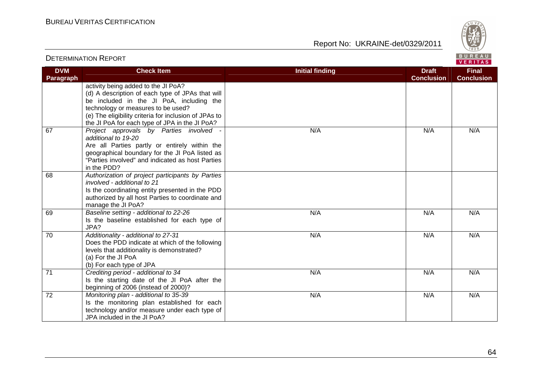

| <b>DVM</b> | <b>Check Item</b>                                                                   | <b>Initial finding</b> | <b>Draft</b>      | <b>Final</b>      |
|------------|-------------------------------------------------------------------------------------|------------------------|-------------------|-------------------|
| Paragraph  |                                                                                     |                        | <b>Conclusion</b> | <b>Conclusion</b> |
|            | activity being added to the JI PoA?                                                 |                        |                   |                   |
|            | (d) A description of each type of JPAs that will                                    |                        |                   |                   |
|            | be included in the JI PoA, including the                                            |                        |                   |                   |
|            | technology or measures to be used?                                                  |                        |                   |                   |
|            | (e) The eligibility criteria for inclusion of JPAs to                               |                        |                   |                   |
|            | the JI PoA for each type of JPA in the JI PoA?                                      |                        |                   |                   |
| 67         | Project approvals by Parties involved -<br>additional to 19-20                      | N/A                    | N/A               | N/A               |
|            | Are all Parties partly or entirely within the                                       |                        |                   |                   |
|            | geographical boundary for the JI PoA listed as                                      |                        |                   |                   |
|            | "Parties involved" and indicated as host Parties<br>in the PDD?                     |                        |                   |                   |
| 68         | Authorization of project participants by Parties                                    |                        |                   |                   |
|            | involved - additional to 21                                                         |                        |                   |                   |
|            | Is the coordinating entity presented in the PDD                                     |                        |                   |                   |
|            | authorized by all host Parties to coordinate and                                    |                        |                   |                   |
|            | manage the JI PoA?                                                                  |                        |                   |                   |
| 69         | Baseline setting - additional to 22-26                                              | N/A                    | N/A               | N/A               |
|            | Is the baseline established for each type of                                        |                        |                   |                   |
|            | JPA?                                                                                |                        |                   |                   |
| 70         | Additionality - additional to 27-31                                                 | N/A                    | N/A               | N/A               |
|            | Does the PDD indicate at which of the following                                     |                        |                   |                   |
|            | levels that additionality is demonstrated?                                          |                        |                   |                   |
|            | (a) For the JI PoA                                                                  |                        |                   |                   |
| 71         | (b) For each type of JPA                                                            | N/A                    | N/A               | N/A               |
|            | Crediting period - additional to 34<br>Is the starting date of the JI PoA after the |                        |                   |                   |
|            | beginning of 2006 (instead of 2000)?                                                |                        |                   |                   |
| 72         | Monitoring plan - additional to 35-39                                               | N/A                    | N/A               | N/A               |
|            | Is the monitoring plan established for each                                         |                        |                   |                   |
|            | technology and/or measure under each type of                                        |                        |                   |                   |
|            | JPA included in the JI PoA?                                                         |                        |                   |                   |
|            |                                                                                     |                        |                   |                   |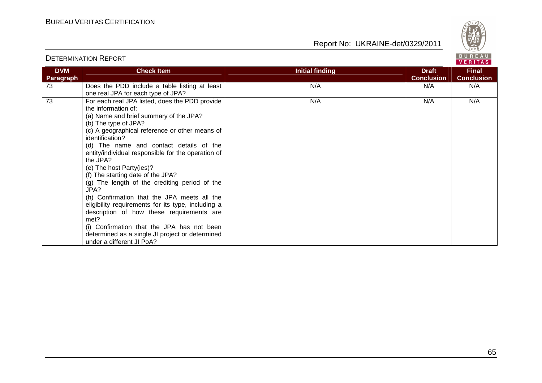



| <b>DVM</b><br>Paragraph | <b>Check Item</b>                                                                                                                                                                                                                                                                                                                                                                                                                                                                                                                                                                                                                                                                                                                           | <b>Initial finding</b> | <b>Draft</b><br><b>Conclusion</b> | <b>Final</b><br><b>Conclusion</b> |
|-------------------------|---------------------------------------------------------------------------------------------------------------------------------------------------------------------------------------------------------------------------------------------------------------------------------------------------------------------------------------------------------------------------------------------------------------------------------------------------------------------------------------------------------------------------------------------------------------------------------------------------------------------------------------------------------------------------------------------------------------------------------------------|------------------------|-----------------------------------|-----------------------------------|
| 73                      | Does the PDD include a table listing at least<br>one real JPA for each type of JPA?                                                                                                                                                                                                                                                                                                                                                                                                                                                                                                                                                                                                                                                         | N/A                    | N/A                               | N/A                               |
| 73                      | For each real JPA listed, does the PDD provide<br>the information of:<br>(a) Name and brief summary of the JPA?<br>(b) The type of JPA?<br>(c) A geographical reference or other means of<br>identification?<br>(d) The name and contact details of the<br>entity/individual responsible for the operation of<br>the JPA?<br>(e) The host Party(ies)?<br>(f) The starting date of the JPA?<br>(g) The length of the crediting period of the<br>JPA?<br>(h) Confirmation that the JPA meets all the<br>eligibility requirements for its type, including a<br>description of how these requirements are<br>met?<br>(i) Confirmation that the JPA has not been<br>determined as a single JI project or determined<br>under a different JI PoA? | N/A                    | N/A                               | N/A                               |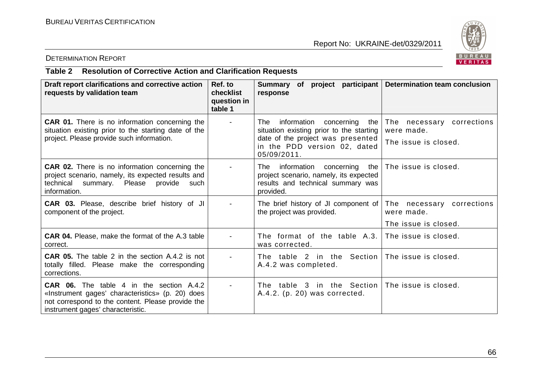

#### DETERMINATION REPORT

# **Table 2 Resolution of Corrective Action and Clarification Requests**

| Draft report clarifications and corrective action<br>requests by validation team                                                                                                              | Ref. to<br>checklist<br>question in<br>table 1 | Summary of project participant   Determination team conclusion<br>response                                                                                      |                                                                     |
|-----------------------------------------------------------------------------------------------------------------------------------------------------------------------------------------------|------------------------------------------------|-----------------------------------------------------------------------------------------------------------------------------------------------------------------|---------------------------------------------------------------------|
| <b>CAR 01.</b> There is no information concerning the<br>situation existing prior to the starting date of the<br>project. Please provide such information.                                    |                                                | information concerning<br>The l<br>situation existing prior to the starting<br>date of the project was presented<br>in the PDD version 02, dated<br>05/09/2011. | the The necessary corrections<br>were made.<br>The issue is closed. |
| <b>CAR 02.</b> There is no information concerning the<br>project scenario, namely, its expected results and<br>technical summary. Please provide<br>such<br>information.                      |                                                | The information concerning<br>project scenario, namely, its expected<br>results and technical summary was<br>provided.                                          | the The issue is closed.                                            |
| <b>CAR 03.</b> Please, describe brief history of JI<br>component of the project.                                                                                                              |                                                | The brief history of JI component of The necessary corrections<br>the project was provided.                                                                     | were made.<br>The issue is closed.                                  |
| <b>CAR 04.</b> Please, make the format of the A.3 table<br>correct.                                                                                                                           |                                                | The format of the table $A.3.$ The issue is closed.<br>was corrected.                                                                                           |                                                                     |
| <b>CAR 05.</b> The table 2 in the section A.4.2 is not<br>totally filled. Please make the corresponding<br>corrections.                                                                       |                                                | The table 2 in the Section The issue is closed.<br>A.4.2 was completed.                                                                                         |                                                                     |
| <b>CAR 06.</b> The table 4 in the section A.4.2<br>«Instrument gages' characteristics» (p. 20) does<br>not correspond to the content. Please provide the<br>instrument gages' characteristic. |                                                | The table 3 in the Section The issue is closed.<br>A.4.2. (p. 20) was corrected.                                                                                |                                                                     |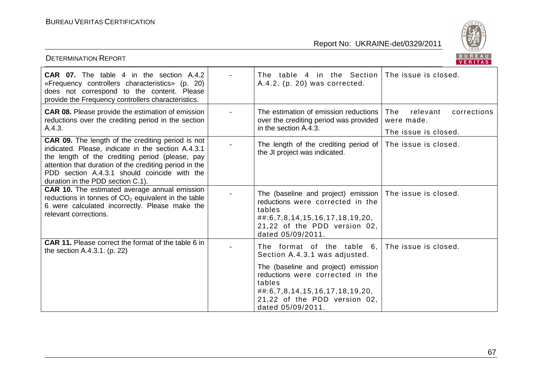

| <b>DETERMINATION REPORT</b>                                                                                                                                                                                                                                                                                      |                                                                                                                                                                                                 | BUREAU<br><b>VERITAS</b>                                             |
|------------------------------------------------------------------------------------------------------------------------------------------------------------------------------------------------------------------------------------------------------------------------------------------------------------------|-------------------------------------------------------------------------------------------------------------------------------------------------------------------------------------------------|----------------------------------------------------------------------|
| <b>CAR 07.</b> The table 4 in the section A.4.2<br>«Frequency controllers characteristics» (p. 20)<br>does not correspond to the content. Please<br>provide the Frequency controllers characteristics.                                                                                                           | The table 4 in the Section<br>A.4.2. (p. 20) was corrected.                                                                                                                                     | The issue is closed.                                                 |
| <b>CAR 08.</b> Please provide the estimation of emission<br>reductions over the crediting period in the section<br>A.4.3.                                                                                                                                                                                        | The estimation of emission reductions<br>over the crediting period was provided<br>in the section A.4.3.                                                                                        | relevant<br>corrections<br>The<br>were made.<br>The issue is closed. |
| <b>CAR 09.</b> The length of the crediting period is not<br>indicated. Please, indicate in the section A.4.3.1<br>the length of the crediting period (please, pay<br>attention that duration of the crediting period in the<br>PDD section A.4.3.1 should coincide with the<br>duration in the PDD section C.1). | The length of the crediting period of $ $ The issue is closed.<br>the JI project was indicated.                                                                                                 |                                                                      |
| <b>CAR 10.</b> The estimated average annual emission<br>reductions in tonnes of $CO2$ equivalent in the table<br>6 were calculated incorrectly. Please make the<br>relevant corrections.                                                                                                                         | The (baseline and project) emission   The issue is closed.<br>reductions were corrected in the<br>tables<br>##:6,7,8,14,15,16,17,18,19,20,<br>21,22 of the PDD version 02,<br>dated 05/09/2011. |                                                                      |
| <b>CAR 11.</b> Please correct the format of the table 6 in<br>the section A.4.3.1. (p. 22)                                                                                                                                                                                                                       | The format of the table 6.<br>Section A.4.3.1 was adjusted.                                                                                                                                     | The issue is closed.                                                 |
|                                                                                                                                                                                                                                                                                                                  | The (baseline and project) emission<br>reductions were corrected in the<br>tables<br>##:6,7,8,14,15,16,17,18,19,20,<br>21,22 of the PDD version 02,<br>dated 05/09/2011.                        |                                                                      |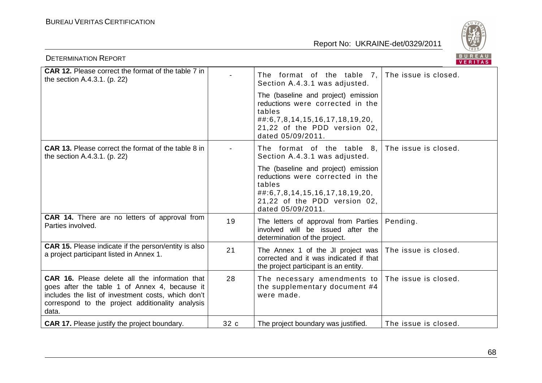

| <b>DETERMINATION REPORT</b>                                                                                                                                                                                               |      |                                                                                                                                                                          | BUREAU<br><b>VERITAS</b> |
|---------------------------------------------------------------------------------------------------------------------------------------------------------------------------------------------------------------------------|------|--------------------------------------------------------------------------------------------------------------------------------------------------------------------------|--------------------------|
| <b>CAR 12.</b> Please correct the format of the table 7 in<br>the section A.4.3.1. (p. 22)                                                                                                                                |      | The format of the table 7,<br>Section A.4.3.1 was adjusted.                                                                                                              | The issue is closed.     |
|                                                                                                                                                                                                                           |      | The (baseline and project) emission<br>reductions were corrected in the<br>tables<br>##:6,7,8,14,15,16,17,18,19,20,<br>21,22 of the PDD version 02,<br>dated 05/09/2011. |                          |
| <b>CAR 13.</b> Please correct the format of the table 8 in<br>the section A.4.3.1. (p. 22)                                                                                                                                |      | The format of the table 8.<br>Section A.4.3.1 was adjusted.                                                                                                              | The issue is closed.     |
|                                                                                                                                                                                                                           |      | The (baseline and project) emission<br>reductions were corrected in the<br>tables<br>##:6,7,8,14,15,16,17,18,19,20,<br>21,22 of the PDD version 02,<br>dated 05/09/2011. |                          |
| <b>CAR 14.</b> There are no letters of approval from<br>Parties involved.                                                                                                                                                 | 19   | The letters of approval from Parties<br>involved will be issued after the<br>determination of the project.                                                               | Pending.                 |
| CAR 15. Please indicate if the person/entity is also<br>a project participant listed in Annex 1.                                                                                                                          | 21   | The Annex 1 of the JI project was<br>corrected and it was indicated if that<br>the project participant is an entity.                                                     | The issue is closed.     |
| <b>CAR 16.</b> Please delete all the information that<br>goes after the table 1 of Annex 4, because it<br>includes the list of investment costs, which don't<br>correspond to the project additionality analysis<br>data. | 28   | The necessary amendments to<br>the supplementary document #4<br>were made.                                                                                               | The issue is closed.     |
| <b>CAR 17.</b> Please justify the project boundary.                                                                                                                                                                       | 32 c | The project boundary was justified.                                                                                                                                      | The issue is closed.     |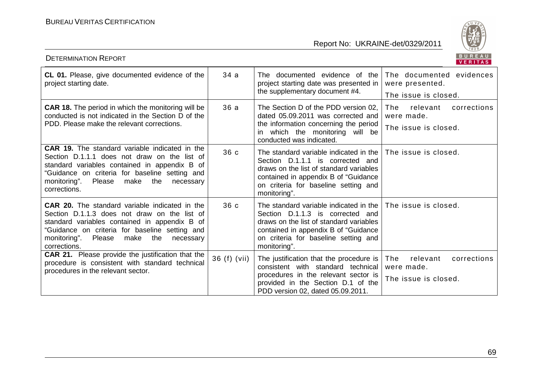

|                                                                                                                                                                                                                                                                          |              |                                                                                                                                                                                                                          | VERIIAS.                                                             |
|--------------------------------------------------------------------------------------------------------------------------------------------------------------------------------------------------------------------------------------------------------------------------|--------------|--------------------------------------------------------------------------------------------------------------------------------------------------------------------------------------------------------------------------|----------------------------------------------------------------------|
| CL 01. Please, give documented evidence of the<br>project starting date.                                                                                                                                                                                                 | 34 a         | The documented evidence of the<br>project starting date was presented in<br>the supplementary document #4.                                                                                                               | The documented evidences<br>were presented.<br>The issue is closed.  |
| <b>CAR 18.</b> The period in which the monitoring will be<br>conducted is not indicated in the Section D of the<br>PDD. Please make the relevant corrections.                                                                                                            | 36a          | The Section D of the PDD version 02,<br>dated 05.09.2011 was corrected and<br>the information concerning the period<br>in which the monitoring will be<br>conducted was indicated.                                       | relevant<br>corrections<br>The<br>were made.<br>The issue is closed. |
| CAR 19. The standard variable indicated in the<br>Section D.1.1.1 does not draw on the list of<br>standard variables contained in appendix B of<br>'Guidance on criteria for baseline setting and<br>Please<br>monitoring".<br>the<br>make<br>necessary<br>corrections.  | 36 c         | The standard variable indicated in the<br>Section D.1.1.1 is corrected and<br>draws on the list of standard variables<br>contained in appendix B of "Guidance"<br>on criteria for baseline setting and<br>monitoring".   | The issue is closed.                                                 |
| <b>CAR 20.</b> The standard variable indicated in the<br>Section D.1.1.3 does not draw on the list of<br>standard variables contained in appendix B of<br>"Guidance on criteria for baseline setting and<br>monitoring".<br>Please make the<br>necessary<br>corrections. | 36 c         | The standard variable indicated in the  <br>Section D.1.1.3 is corrected and<br>draws on the list of standard variables<br>contained in appendix B of "Guidance"<br>on criteria for baseline setting and<br>monitoring". | The issue is closed.                                                 |
| <b>CAR 21.</b> Please provide the justification that the<br>procedure is consistent with standard technical<br>procedures in the relevant sector.                                                                                                                        | 36 (f) (vii) | The justification that the procedure is $ $<br>consistent with standard technical<br>procedures in the relevant sector is<br>provided in the Section D.1 of the<br>PDD version 02, dated 05.09.2011.                     | relevant<br>The<br>corrections<br>were made.<br>The issue is closed. |